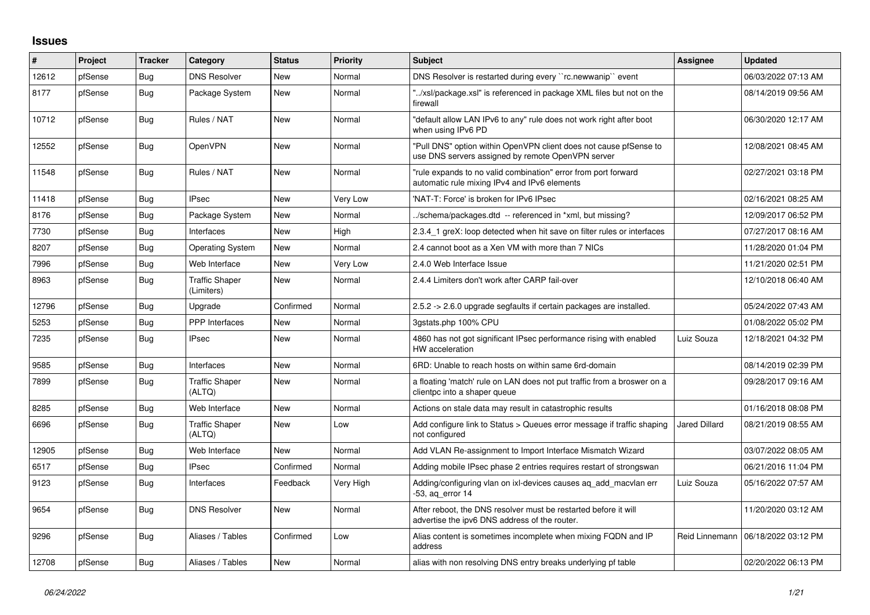## **Issues**

| #     | Project | <b>Tracker</b> | Category                            | <b>Status</b> | Priority  | <b>Subject</b>                                                                                                         | Assignee       | <b>Updated</b>      |
|-------|---------|----------------|-------------------------------------|---------------|-----------|------------------------------------------------------------------------------------------------------------------------|----------------|---------------------|
| 12612 | pfSense | <b>Bug</b>     | <b>DNS Resolver</b>                 | New           | Normal    | DNS Resolver is restarted during every "rc.newwanip" event                                                             |                | 06/03/2022 07:13 AM |
| 8177  | pfSense | <b>Bug</b>     | Package System                      | <b>New</b>    | Normal    | "/xsl/package.xsl" is referenced in package XML files but not on the<br>firewall                                       |                | 08/14/2019 09:56 AM |
| 10712 | pfSense | <b>Bug</b>     | Rules / NAT                         | <b>New</b>    | Normal    | "default allow LAN IPv6 to any" rule does not work right after boot<br>when using IPv6 PD                              |                | 06/30/2020 12:17 AM |
| 12552 | pfSense | <b>Bug</b>     | OpenVPN                             | New           | Normal    | "Pull DNS" option within OpenVPN client does not cause pfSense to<br>use DNS servers assigned by remote OpenVPN server |                | 12/08/2021 08:45 AM |
| 11548 | pfSense | Bug            | Rules / NAT                         | New           | Normal    | "rule expands to no valid combination" error from port forward<br>automatic rule mixing IPv4 and IPv6 elements         |                | 02/27/2021 03:18 PM |
| 11418 | pfSense | <b>Bug</b>     | <b>IPsec</b>                        | New           | Very Low  | 'NAT-T: Force' is broken for IPv6 IPsec                                                                                |                | 02/16/2021 08:25 AM |
| 8176  | pfSense | <b>Bug</b>     | Package System                      | New           | Normal    | ./schema/packages.dtd -- referenced in *xml, but missing?                                                              |                | 12/09/2017 06:52 PM |
| 7730  | pfSense | Bug            | Interfaces                          | New           | High      | 2.3.4 1 greX: loop detected when hit save on filter rules or interfaces                                                |                | 07/27/2017 08:16 AM |
| 8207  | pfSense | Bug            | Operating System                    | New           | Normal    | 2.4 cannot boot as a Xen VM with more than 7 NICs                                                                      |                | 11/28/2020 01:04 PM |
| 7996  | pfSense | <b>Bug</b>     | Web Interface                       | <b>New</b>    | Very Low  | 2.4.0 Web Interface Issue                                                                                              |                | 11/21/2020 02:51 PM |
| 8963  | pfSense | <b>Bug</b>     | <b>Traffic Shaper</b><br>(Limiters) | New           | Normal    | 2.4.4 Limiters don't work after CARP fail-over                                                                         |                | 12/10/2018 06:40 AM |
| 12796 | pfSense | Bug            | Upgrade                             | Confirmed     | Normal    | 2.5.2 -> 2.6.0 upgrade segfaults if certain packages are installed.                                                    |                | 05/24/2022 07:43 AM |
| 5253  | pfSense | <b>Bug</b>     | <b>PPP</b> Interfaces               | New           | Normal    | 3gstats.php 100% CPU                                                                                                   |                | 01/08/2022 05:02 PM |
| 7235  | pfSense | Bug            | <b>IPsec</b>                        | <b>New</b>    | Normal    | 4860 has not got significant IPsec performance rising with enabled<br>HW acceleration                                  | Luiz Souza     | 12/18/2021 04:32 PM |
| 9585  | pfSense | Bug            | Interfaces                          | <b>New</b>    | Normal    | 6RD: Unable to reach hosts on within same 6rd-domain                                                                   |                | 08/14/2019 02:39 PM |
| 7899  | pfSense | Bug            | <b>Traffic Shaper</b><br>(ALTQ)     | New           | Normal    | a floating 'match' rule on LAN does not put traffic from a broswer on a<br>clientpc into a shaper queue                |                | 09/28/2017 09:16 AM |
| 8285  | pfSense | Bug            | Web Interface                       | New           | Normal    | Actions on stale data may result in catastrophic results                                                               |                | 01/16/2018 08:08 PM |
| 6696  | pfSense | Bug            | <b>Traffic Shaper</b><br>(ALTQ)     | <b>New</b>    | Low       | Add configure link to Status > Queues error message if traffic shaping<br>not configured                               | Jared Dillard  | 08/21/2019 08:55 AM |
| 12905 | pfSense | <b>Bug</b>     | Web Interface                       | New           | Normal    | Add VLAN Re-assignment to Import Interface Mismatch Wizard                                                             |                | 03/07/2022 08:05 AM |
| 6517  | pfSense | Bug            | <b>IPsec</b>                        | Confirmed     | Normal    | Adding mobile IPsec phase 2 entries requires restart of strongswan                                                     |                | 06/21/2016 11:04 PM |
| 9123  | pfSense | Bug            | Interfaces                          | Feedback      | Very High | Adding/configuring vlan on ixl-devices causes aq_add_macvlan err<br>-53, aq_error 14                                   | Luiz Souza     | 05/16/2022 07:57 AM |
| 9654  | pfSense | Bug            | <b>DNS Resolver</b>                 | New           | Normal    | After reboot, the DNS resolver must be restarted before it will<br>advertise the ipv6 DNS address of the router.       |                | 11/20/2020 03:12 AM |
| 9296  | pfSense | <b>Bug</b>     | Aliases / Tables                    | Confirmed     | Low       | Alias content is sometimes incomplete when mixing FQDN and IP<br>address                                               | Reid Linnemann | 06/18/2022 03:12 PM |
| 12708 | pfSense | <b>Bug</b>     | Aliases / Tables                    | New           | Normal    | alias with non resolving DNS entry breaks underlying pf table                                                          |                | 02/20/2022 06:13 PM |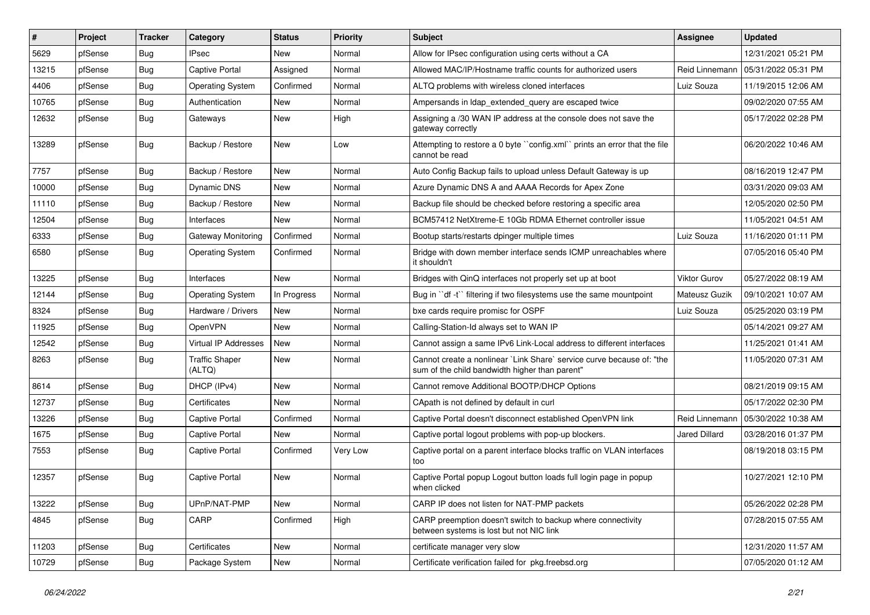| $\vert$ # | Project | <b>Tracker</b> | Category                        | <b>Status</b> | <b>Priority</b> | <b>Subject</b>                                                                                                          | <b>Assignee</b>     | <b>Updated</b>      |
|-----------|---------|----------------|---------------------------------|---------------|-----------------|-------------------------------------------------------------------------------------------------------------------------|---------------------|---------------------|
| 5629      | pfSense | Bug            | <b>IPsec</b>                    | New           | Normal          | Allow for IPsec configuration using certs without a CA                                                                  |                     | 12/31/2021 05:21 PM |
| 13215     | pfSense | Bug            | <b>Captive Portal</b>           | Assigned      | Normal          | Allowed MAC/IP/Hostname traffic counts for authorized users                                                             | Reid Linnemann      | 05/31/2022 05:31 PM |
| 4406      | pfSense | Bug            | <b>Operating System</b>         | Confirmed     | Normal          | ALTQ problems with wireless cloned interfaces                                                                           | Luiz Souza          | 11/19/2015 12:06 AM |
| 10765     | pfSense | Bug            | Authentication                  | New           | Normal          | Ampersands in Idap extended query are escaped twice                                                                     |                     | 09/02/2020 07:55 AM |
| 12632     | pfSense | Bug            | Gateways                        | <b>New</b>    | High            | Assigning a /30 WAN IP address at the console does not save the<br>gateway correctly                                    |                     | 05/17/2022 02:28 PM |
| 13289     | pfSense | Bug            | Backup / Restore                | <b>New</b>    | Low             | Attempting to restore a 0 byte "config.xml" prints an error that the file<br>cannot be read                             |                     | 06/20/2022 10:46 AM |
| 7757      | pfSense | Bug            | Backup / Restore                | New           | Normal          | Auto Config Backup fails to upload unless Default Gateway is up                                                         |                     | 08/16/2019 12:47 PM |
| 10000     | pfSense | Bug            | Dynamic DNS                     | <b>New</b>    | Normal          | Azure Dynamic DNS A and AAAA Records for Apex Zone                                                                      |                     | 03/31/2020 09:03 AM |
| 11110     | pfSense | Bug            | Backup / Restore                | New           | Normal          | Backup file should be checked before restoring a specific area                                                          |                     | 12/05/2020 02:50 PM |
| 12504     | pfSense | Bug            | Interfaces                      | New           | Normal          | BCM57412 NetXtreme-E 10Gb RDMA Ethernet controller issue                                                                |                     | 11/05/2021 04:51 AM |
| 6333      | pfSense | Bug            | Gateway Monitoring              | Confirmed     | Normal          | Bootup starts/restarts dpinger multiple times                                                                           | Luiz Souza          | 11/16/2020 01:11 PM |
| 6580      | pfSense | Bug            | <b>Operating System</b>         | Confirmed     | Normal          | Bridge with down member interface sends ICMP unreachables where<br>it shouldn't                                         |                     | 07/05/2016 05:40 PM |
| 13225     | pfSense | <b>Bug</b>     | Interfaces                      | New           | Normal          | Bridges with QinQ interfaces not properly set up at boot                                                                | <b>Viktor Gurov</b> | 05/27/2022 08:19 AM |
| 12144     | pfSense | Bug            | <b>Operating System</b>         | In Progress   | Normal          | Bug in "df -t" filtering if two filesystems use the same mountpoint                                                     | Mateusz Guzik       | 09/10/2021 10:07 AM |
| 8324      | pfSense | Bug            | Hardware / Drivers              | <b>New</b>    | Normal          | bxe cards require promisc for OSPF                                                                                      | Luiz Souza          | 05/25/2020 03:19 PM |
| 11925     | pfSense | Bug            | OpenVPN                         | <b>New</b>    | Normal          | Calling-Station-Id always set to WAN IP                                                                                 |                     | 05/14/2021 09:27 AM |
| 12542     | pfSense | Bug            | <b>Virtual IP Addresses</b>     | New           | Normal          | Cannot assign a same IPv6 Link-Local address to different interfaces                                                    |                     | 11/25/2021 01:41 AM |
| 8263      | pfSense | Bug            | <b>Traffic Shaper</b><br>(ALTQ) | <b>New</b>    | Normal          | Cannot create a nonlinear `Link Share` service curve because of: "the<br>sum of the child bandwidth higher than parent" |                     | 11/05/2020 07:31 AM |
| 8614      | pfSense | Bug            | DHCP (IPv4)                     | <b>New</b>    | Normal          | Cannot remove Additional BOOTP/DHCP Options                                                                             |                     | 08/21/2019 09:15 AM |
| 12737     | pfSense | Bug            | Certificates                    | New           | Normal          | CApath is not defined by default in curl                                                                                |                     | 05/17/2022 02:30 PM |
| 13226     | pfSense | Bug            | Captive Portal                  | Confirmed     | Normal          | Captive Portal doesn't disconnect established OpenVPN link                                                              | Reid Linnemann      | 05/30/2022 10:38 AM |
| 1675      | pfSense | Bug            | Captive Portal                  | New           | Normal          | Captive portal logout problems with pop-up blockers.                                                                    | Jared Dillard       | 03/28/2016 01:37 PM |
| 7553      | pfSense | Bug            | Captive Portal                  | Confirmed     | Very Low        | Captive portal on a parent interface blocks traffic on VLAN interfaces<br>too                                           |                     | 08/19/2018 03:15 PM |
| 12357     | pfSense | Bug            | <b>Captive Portal</b>           | <b>New</b>    | Normal          | Captive Portal popup Logout button loads full login page in popup<br>when clicked                                       |                     | 10/27/2021 12:10 PM |
| 13222     | pfSense | Bug            | UPnP/NAT-PMP                    | New           | Normal          | CARP IP does not listen for NAT-PMP packets                                                                             |                     | 05/26/2022 02:28 PM |
| 4845      | pfSense | <b>Bug</b>     | CARP                            | Confirmed     | High            | CARP preemption doesn't switch to backup where connectivity<br>between systems is lost but not NIC link                 |                     | 07/28/2015 07:55 AM |
| 11203     | pfSense | <b>Bug</b>     | Certificates                    | New           | Normal          | certificate manager very slow                                                                                           |                     | 12/31/2020 11:57 AM |
| 10729     | pfSense | Bug            | Package System                  | New           | Normal          | Certificate verification failed for pkg.freebsd.org                                                                     |                     | 07/05/2020 01:12 AM |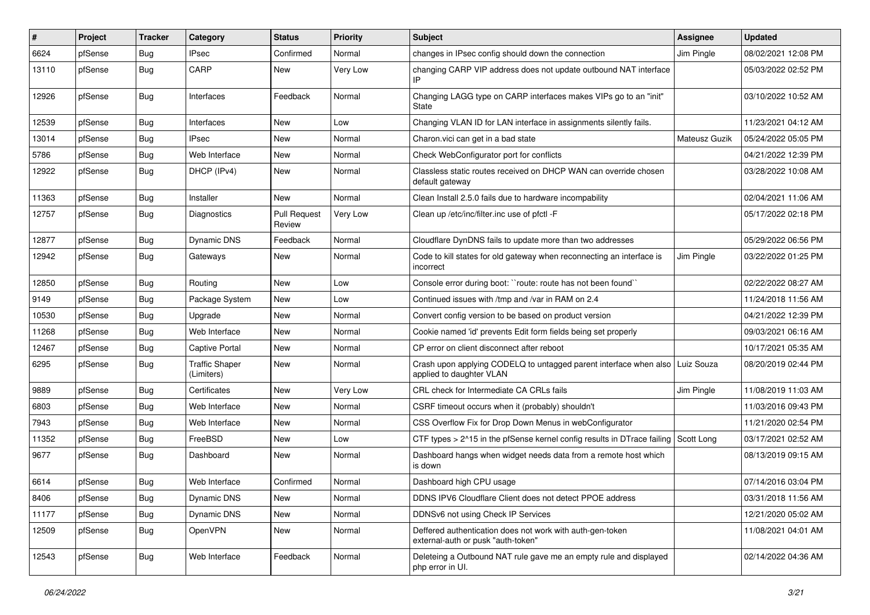| #     | Project | <b>Tracker</b> | Category                            | <b>Status</b>                 | Priority | <b>Subject</b>                                                                                  | <b>Assignee</b> | <b>Updated</b>      |
|-------|---------|----------------|-------------------------------------|-------------------------------|----------|-------------------------------------------------------------------------------------------------|-----------------|---------------------|
| 6624  | pfSense | Bug            | <b>IPsec</b>                        | Confirmed                     | Normal   | changes in IPsec config should down the connection                                              | Jim Pingle      | 08/02/2021 12:08 PM |
| 13110 | pfSense | Bug            | CARP                                | New                           | Very Low | changing CARP VIP address does not update outbound NAT interface<br>ΙP                          |                 | 05/03/2022 02:52 PM |
| 12926 | pfSense | Bug            | Interfaces                          | Feedback                      | Normal   | Changing LAGG type on CARP interfaces makes VIPs go to an "init"<br>State                       |                 | 03/10/2022 10:52 AM |
| 12539 | pfSense | Bug            | Interfaces                          | New                           | Low      | Changing VLAN ID for LAN interface in assignments silently fails.                               |                 | 11/23/2021 04:12 AM |
| 13014 | pfSense | Bug            | IPsec                               | New                           | Normal   | Charon.vici can get in a bad state                                                              | Mateusz Guzik   | 05/24/2022 05:05 PM |
| 5786  | pfSense | Bug            | Web Interface                       | New                           | Normal   | Check WebConfigurator port for conflicts                                                        |                 | 04/21/2022 12:39 PM |
| 12922 | pfSense | Bug            | DHCP (IPv4)                         | New                           | Normal   | Classless static routes received on DHCP WAN can override chosen<br>default gateway             |                 | 03/28/2022 10:08 AM |
| 11363 | pfSense | Bug            | Installer                           | New                           | Normal   | Clean Install 2.5.0 fails due to hardware incompability                                         |                 | 02/04/2021 11:06 AM |
| 12757 | pfSense | Bug            | Diagnostics                         | <b>Pull Request</b><br>Review | Very Low | Clean up /etc/inc/filter.inc use of pfctl -F                                                    |                 | 05/17/2022 02:18 PM |
| 12877 | pfSense | Bug            | <b>Dynamic DNS</b>                  | Feedback                      | Normal   | Cloudflare DynDNS fails to update more than two addresses                                       |                 | 05/29/2022 06:56 PM |
| 12942 | pfSense | Bug            | Gateways                            | New                           | Normal   | Code to kill states for old gateway when reconnecting an interface is<br>incorrect              | Jim Pingle      | 03/22/2022 01:25 PM |
| 12850 | pfSense | <b>Bug</b>     | Routina                             | New                           | Low      | Console error during boot: "route: route has not been found"                                    |                 | 02/22/2022 08:27 AM |
| 9149  | pfSense | Bug            | Package System                      | New                           | Low      | Continued issues with /tmp and /var in RAM on 2.4                                               |                 | 11/24/2018 11:56 AM |
| 10530 | pfSense | Bug            | Upgrade                             | New                           | Normal   | Convert config version to be based on product version                                           |                 | 04/21/2022 12:39 PM |
| 11268 | pfSense | Bug            | Web Interface                       | New                           | Normal   | Cookie named 'id' prevents Edit form fields being set properly                                  |                 | 09/03/2021 06:16 AM |
| 12467 | pfSense | Bug            | Captive Portal                      | New                           | Normal   | CP error on client disconnect after reboot                                                      |                 | 10/17/2021 05:35 AM |
| 6295  | pfSense | Bug            | <b>Traffic Shaper</b><br>(Limiters) | New                           | Normal   | Crash upon applying CODELQ to untagged parent interface when also<br>applied to daughter VLAN   | Luiz Souza      | 08/20/2019 02:44 PM |
| 9889  | pfSense | Bug            | Certificates                        | <b>New</b>                    | Very Low | CRL check for Intermediate CA CRLs fails                                                        | Jim Pingle      | 11/08/2019 11:03 AM |
| 6803  | pfSense | Bug            | Web Interface                       | New                           | Normal   | CSRF timeout occurs when it (probably) shouldn't                                                |                 | 11/03/2016 09:43 PM |
| 7943  | pfSense | <b>Bug</b>     | Web Interface                       | New                           | Normal   | CSS Overflow Fix for Drop Down Menus in webConfigurator                                         |                 | 11/21/2020 02:54 PM |
| 11352 | pfSense | Bug            | FreeBSD                             | New                           | Low      | CTF types > 2^15 in the pfSense kernel config results in DTrace failing                         | Scott Long      | 03/17/2021 02:52 AM |
| 9677  | pfSense | Bug            | Dashboard                           | New                           | Normal   | Dashboard hangs when widget needs data from a remote host which<br>is down                      |                 | 08/13/2019 09:15 AM |
| 6614  | pfSense | Bug            | Web Interface                       | Confirmed                     | Normal   | Dashboard high CPU usage                                                                        |                 | 07/14/2016 03:04 PM |
| 8406  | pfSense | Bug            | Dynamic DNS                         | New                           | Normal   | DDNS IPV6 Cloudflare Client does not detect PPOE address                                        |                 | 03/31/2018 11:56 AM |
| 11177 | pfSense | Bug            | Dynamic DNS                         | New                           | Normal   | DDNSv6 not using Check IP Services                                                              |                 | 12/21/2020 05:02 AM |
| 12509 | pfSense | <b>Bug</b>     | <b>OpenVPN</b>                      | New                           | Normal   | Deffered authentication does not work with auth-gen-token<br>external-auth or pusk "auth-token" |                 | 11/08/2021 04:01 AM |
| 12543 | pfSense | Bug            | Web Interface                       | Feedback                      | Normal   | Deleteing a Outbound NAT rule gave me an empty rule and displayed<br>php error in UI.           |                 | 02/14/2022 04:36 AM |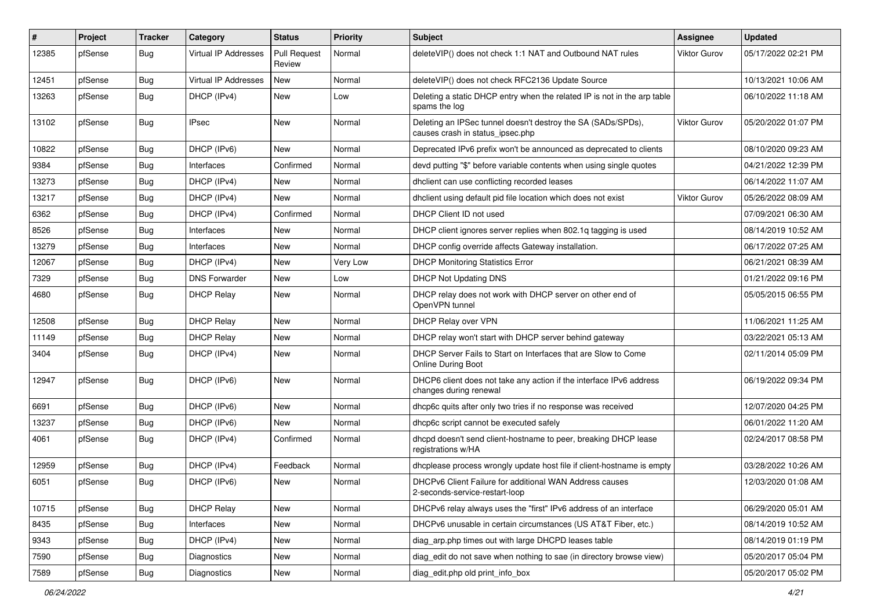| #     | Project | <b>Tracker</b> | Category                    | <b>Status</b>                 | Priority | <b>Subject</b>                                                                                   | <b>Assignee</b>     | <b>Updated</b>      |
|-------|---------|----------------|-----------------------------|-------------------------------|----------|--------------------------------------------------------------------------------------------------|---------------------|---------------------|
| 12385 | pfSense | Bug            | <b>Virtual IP Addresses</b> | <b>Pull Request</b><br>Review | Normal   | deleteVIP() does not check 1:1 NAT and Outbound NAT rules                                        | <b>Viktor Gurov</b> | 05/17/2022 02:21 PM |
| 12451 | pfSense | Bug            | Virtual IP Addresses        | New                           | Normal   | deleteVIP() does not check RFC2136 Update Source                                                 |                     | 10/13/2021 10:06 AM |
| 13263 | pfSense | Bug            | DHCP (IPv4)                 | New                           | Low      | Deleting a static DHCP entry when the related IP is not in the arp table<br>spams the log        |                     | 06/10/2022 11:18 AM |
| 13102 | pfSense | Bug            | <b>IPsec</b>                | <b>New</b>                    | Normal   | Deleting an IPSec tunnel doesn't destroy the SA (SADs/SPDs),<br>causes crash in status_ipsec.php | Viktor Gurov        | 05/20/2022 01:07 PM |
| 10822 | pfSense | Bug            | DHCP (IPv6)                 | New                           | Normal   | Deprecated IPv6 prefix won't be announced as deprecated to clients                               |                     | 08/10/2020 09:23 AM |
| 9384  | pfSense | Bug            | Interfaces                  | Confirmed                     | Normal   | devd putting "\$" before variable contents when using single quotes                              |                     | 04/21/2022 12:39 PM |
| 13273 | pfSense | Bug            | DHCP (IPv4)                 | New                           | Normal   | dhclient can use conflicting recorded leases                                                     |                     | 06/14/2022 11:07 AM |
| 13217 | pfSense | Bug            | DHCP (IPv4)                 | New                           | Normal   | dhclient using default pid file location which does not exist                                    | Viktor Gurov        | 05/26/2022 08:09 AM |
| 6362  | pfSense | Bug            | DHCP (IPv4)                 | Confirmed                     | Normal   | DHCP Client ID not used                                                                          |                     | 07/09/2021 06:30 AM |
| 8526  | pfSense | <b>Bug</b>     | Interfaces                  | New                           | Normal   | DHCP client ignores server replies when 802.1q tagging is used                                   |                     | 08/14/2019 10:52 AM |
| 13279 | pfSense | <b>Bug</b>     | Interfaces                  | New                           | Normal   | DHCP config override affects Gateway installation.                                               |                     | 06/17/2022 07:25 AM |
| 12067 | pfSense | Bug            | DHCP (IPv4)                 | New                           | Very Low | <b>DHCP Monitoring Statistics Error</b>                                                          |                     | 06/21/2021 08:39 AM |
| 7329  | pfSense | Bug            | <b>DNS Forwarder</b>        | New                           | Low      | <b>DHCP Not Updating DNS</b>                                                                     |                     | 01/21/2022 09:16 PM |
| 4680  | pfSense | Bug            | <b>DHCP Relay</b>           | New                           | Normal   | DHCP relay does not work with DHCP server on other end of<br>OpenVPN tunnel                      |                     | 05/05/2015 06:55 PM |
| 12508 | pfSense | Bug            | <b>DHCP Relay</b>           | New                           | Normal   | DHCP Relay over VPN                                                                              |                     | 11/06/2021 11:25 AM |
| 11149 | pfSense | Bug            | <b>DHCP Relay</b>           | New                           | Normal   | DHCP relay won't start with DHCP server behind gateway                                           |                     | 03/22/2021 05:13 AM |
| 3404  | pfSense | Bug            | DHCP (IPv4)                 | <b>New</b>                    | Normal   | DHCP Server Fails to Start on Interfaces that are Slow to Come<br><b>Online During Boot</b>      |                     | 02/11/2014 05:09 PM |
| 12947 | pfSense | Bug            | DHCP (IPv6)                 | New                           | Normal   | DHCP6 client does not take any action if the interface IPv6 address<br>changes during renewal    |                     | 06/19/2022 09:34 PM |
| 6691  | pfSense | Bug            | DHCP (IPv6)                 | New                           | Normal   | dhcp6c quits after only two tries if no response was received                                    |                     | 12/07/2020 04:25 PM |
| 13237 | pfSense | <b>Bug</b>     | DHCP (IPv6)                 | New                           | Normal   | dhcp6c script cannot be executed safely                                                          |                     | 06/01/2022 11:20 AM |
| 4061  | pfSense | Bug            | DHCP (IPv4)                 | Confirmed                     | Normal   | dhcpd doesn't send client-hostname to peer, breaking DHCP lease<br>registrations w/HA            |                     | 02/24/2017 08:58 PM |
| 12959 | pfSense | Bug            | DHCP (IPv4)                 | Feedback                      | Normal   | dhcplease process wrongly update host file if client-hostname is empty                           |                     | 03/28/2022 10:26 AM |
| 6051  | pfSense | Bug            | DHCP (IPv6)                 | New                           | Normal   | DHCPv6 Client Failure for additional WAN Address causes<br>2-seconds-service-restart-loop        |                     | 12/03/2020 01:08 AM |
| 10715 | pfSense | Bug            | <b>DHCP Relay</b>           | New                           | Normal   | DHCPv6 relay always uses the "first" IPv6 address of an interface                                |                     | 06/29/2020 05:01 AM |
| 8435  | pfSense | <b>Bug</b>     | Interfaces                  | New                           | Normal   | DHCPv6 unusable in certain circumstances (US AT&T Fiber, etc.)                                   |                     | 08/14/2019 10:52 AM |
| 9343  | pfSense | Bug            | DHCP (IPv4)                 | New                           | Normal   | diag_arp.php times out with large DHCPD leases table                                             |                     | 08/14/2019 01:19 PM |
| 7590  | pfSense | <b>Bug</b>     | Diagnostics                 | New                           | Normal   | diag_edit do not save when nothing to sae (in directory browse view)                             |                     | 05/20/2017 05:04 PM |
| 7589  | pfSense | Bug            | Diagnostics                 | New                           | Normal   | diag_edit.php old print_info_box                                                                 |                     | 05/20/2017 05:02 PM |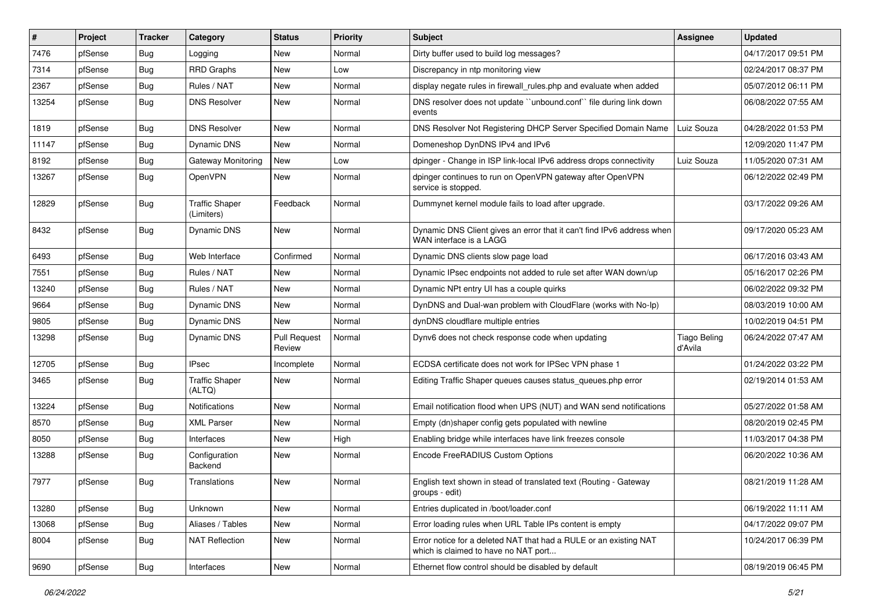| $\sharp$ | Project | <b>Tracker</b> | Category                            | <b>Status</b>                 | <b>Priority</b> | <b>Subject</b>                                                                                            | <b>Assignee</b>                | <b>Updated</b>      |
|----------|---------|----------------|-------------------------------------|-------------------------------|-----------------|-----------------------------------------------------------------------------------------------------------|--------------------------------|---------------------|
| 7476     | pfSense | Bug            | Logging                             | New                           | Normal          | Dirty buffer used to build log messages?                                                                  |                                | 04/17/2017 09:51 PM |
| 7314     | pfSense | Bug            | <b>RRD Graphs</b>                   | New                           | Low             | Discrepancy in ntp monitoring view                                                                        |                                | 02/24/2017 08:37 PM |
| 2367     | pfSense | Bug            | Rules / NAT                         | New                           | Normal          | display negate rules in firewall_rules.php and evaluate when added                                        |                                | 05/07/2012 06:11 PM |
| 13254    | pfSense | Bug            | <b>DNS Resolver</b>                 | New                           | Normal          | DNS resolver does not update "unbound.conf" file during link down<br>events                               |                                | 06/08/2022 07:55 AM |
| 1819     | pfSense | Bug            | <b>DNS Resolver</b>                 | New                           | Normal          | DNS Resolver Not Registering DHCP Server Specified Domain Name                                            | Luiz Souza                     | 04/28/2022 01:53 PM |
| 11147    | pfSense | Bug            | Dynamic DNS                         | New                           | Normal          | Domeneshop DynDNS IPv4 and IPv6                                                                           |                                | 12/09/2020 11:47 PM |
| 8192     | pfSense | Bug            | Gateway Monitoring                  | <b>New</b>                    | Low             | dpinger - Change in ISP link-local IPv6 address drops connectivity                                        | Luiz Souza                     | 11/05/2020 07:31 AM |
| 13267    | pfSense | Bug            | OpenVPN                             | New                           | Normal          | dpinger continues to run on OpenVPN gateway after OpenVPN<br>service is stopped.                          |                                | 06/12/2022 02:49 PM |
| 12829    | pfSense | Bug            | <b>Traffic Shaper</b><br>(Limiters) | Feedback                      | Normal          | Dummynet kernel module fails to load after upgrade.                                                       |                                | 03/17/2022 09:26 AM |
| 8432     | pfSense | Bug            | Dynamic DNS                         | <b>New</b>                    | Normal          | Dynamic DNS Client gives an error that it can't find IPv6 address when<br>WAN interface is a LAGG         |                                | 09/17/2020 05:23 AM |
| 6493     | pfSense | Bug            | Web Interface                       | Confirmed                     | Normal          | Dynamic DNS clients slow page load                                                                        |                                | 06/17/2016 03:43 AM |
| 7551     | pfSense | Bug            | Rules / NAT                         | <b>New</b>                    | Normal          | Dynamic IPsec endpoints not added to rule set after WAN down/up                                           |                                | 05/16/2017 02:26 PM |
| 13240    | pfSense | Bug            | Rules / NAT                         | New                           | Normal          | Dynamic NPt entry UI has a couple quirks                                                                  |                                | 06/02/2022 09:32 PM |
| 9664     | pfSense | Bug            | <b>Dynamic DNS</b>                  | New                           | Normal          | DynDNS and Dual-wan problem with CloudFlare (works with No-Ip)                                            |                                | 08/03/2019 10:00 AM |
| 9805     | pfSense | Bug            | <b>Dynamic DNS</b>                  | New                           | Normal          | dynDNS cloudflare multiple entries                                                                        |                                | 10/02/2019 04:51 PM |
| 13298    | pfSense | Bug            | Dynamic DNS                         | <b>Pull Request</b><br>Review | Normal          | Dynv6 does not check response code when updating                                                          | <b>Tiago Beling</b><br>d'Avila | 06/24/2022 07:47 AM |
| 12705    | pfSense | Bug            | <b>IPsec</b>                        | Incomplete                    | Normal          | ECDSA certificate does not work for IPSec VPN phase 1                                                     |                                | 01/24/2022 03:22 PM |
| 3465     | pfSense | Bug            | <b>Traffic Shaper</b><br>(ALTQ)     | New                           | Normal          | Editing Traffic Shaper queues causes status_queues.php error                                              |                                | 02/19/2014 01:53 AM |
| 13224    | pfSense | Bug            | Notifications                       | New                           | Normal          | Email notification flood when UPS (NUT) and WAN send notifications                                        |                                | 05/27/2022 01:58 AM |
| 8570     | pfSense | Bug            | <b>XML Parser</b>                   | New                           | Normal          | Empty (dn)shaper config gets populated with newline                                                       |                                | 08/20/2019 02:45 PM |
| 8050     | pfSense | Bug            | Interfaces                          | New                           | High            | Enabling bridge while interfaces have link freezes console                                                |                                | 11/03/2017 04:38 PM |
| 13288    | pfSense | Bug            | Configuration<br>Backend            | New                           | Normal          | Encode FreeRADIUS Custom Options                                                                          |                                | 06/20/2022 10:36 AM |
| 7977     | pfSense | Bug            | Translations                        | New                           | Normal          | English text shown in stead of translated text (Routing - Gateway<br>groups - edit)                       |                                | 08/21/2019 11:28 AM |
| 13280    | pfSense | Bug            | Unknown                             | New                           | Normal          | Entries duplicated in /boot/loader.conf                                                                   |                                | 06/19/2022 11:11 AM |
| 13068    | pfSense | <b>Bug</b>     | Aliases / Tables                    | New                           | Normal          | Error loading rules when URL Table IPs content is empty                                                   |                                | 04/17/2022 09:07 PM |
| 8004     | pfSense | Bug            | <b>NAT Reflection</b>               | New                           | Normal          | Error notice for a deleted NAT that had a RULE or an existing NAT<br>which is claimed to have no NAT port |                                | 10/24/2017 06:39 PM |
| 9690     | pfSense | Bug            | Interfaces                          | New                           | Normal          | Ethernet flow control should be disabled by default                                                       |                                | 08/19/2019 06:45 PM |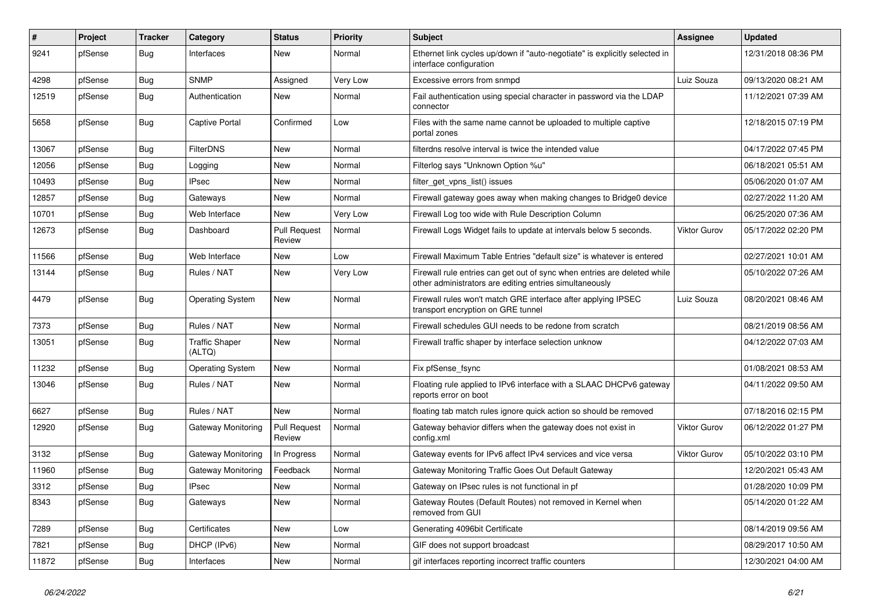| #     | Project | <b>Tracker</b> | Category                        | <b>Status</b>                 | <b>Priority</b> | <b>Subject</b>                                                                                                                      | <b>Assignee</b>     | <b>Updated</b>      |
|-------|---------|----------------|---------------------------------|-------------------------------|-----------------|-------------------------------------------------------------------------------------------------------------------------------------|---------------------|---------------------|
| 9241  | pfSense | Bug            | Interfaces                      | New                           | Normal          | Ethernet link cycles up/down if "auto-negotiate" is explicitly selected in<br>interface configuration                               |                     | 12/31/2018 08:36 PM |
| 4298  | pfSense | Bug            | SNMP                            | Assigned                      | Very Low        | Excessive errors from snmpd                                                                                                         | Luiz Souza          | 09/13/2020 08:21 AM |
| 12519 | pfSense | Bug            | Authentication                  | New                           | Normal          | Fail authentication using special character in password via the LDAP<br>connector                                                   |                     | 11/12/2021 07:39 AM |
| 5658  | pfSense | Bug            | Captive Portal                  | Confirmed                     | Low             | Files with the same name cannot be uploaded to multiple captive<br>portal zones                                                     |                     | 12/18/2015 07:19 PM |
| 13067 | pfSense | Bug            | <b>FilterDNS</b>                | New                           | Normal          | filterdns resolve interval is twice the intended value                                                                              |                     | 04/17/2022 07:45 PM |
| 12056 | pfSense | Bug            | Logging                         | New                           | Normal          | Filterlog says "Unknown Option %u"                                                                                                  |                     | 06/18/2021 05:51 AM |
| 10493 | pfSense | Bug            | <b>IPsec</b>                    | New                           | Normal          | filter_get_vpns_list() issues                                                                                                       |                     | 05/06/2020 01:07 AM |
| 12857 | pfSense | <b>Bug</b>     | Gateways                        | New                           | Normal          | Firewall gateway goes away when making changes to Bridge0 device                                                                    |                     | 02/27/2022 11:20 AM |
| 10701 | pfSense | Bug            | Web Interface                   | New                           | Very Low        | Firewall Log too wide with Rule Description Column                                                                                  |                     | 06/25/2020 07:36 AM |
| 12673 | pfSense | Bug            | Dashboard                       | <b>Pull Request</b><br>Review | Normal          | Firewall Logs Widget fails to update at intervals below 5 seconds.                                                                  | Viktor Gurov        | 05/17/2022 02:20 PM |
| 11566 | pfSense | Bug            | Web Interface                   | <b>New</b>                    | Low             | Firewall Maximum Table Entries "default size" is whatever is entered                                                                |                     | 02/27/2021 10:01 AM |
| 13144 | pfSense | Bug            | Rules / NAT                     | New                           | Very Low        | Firewall rule entries can get out of sync when entries are deleted while<br>other administrators are editing entries simultaneously |                     | 05/10/2022 07:26 AM |
| 4479  | pfSense | Bug            | <b>Operating System</b>         | New                           | Normal          | Firewall rules won't match GRE interface after applying IPSEC<br>transport encryption on GRE tunnel                                 | Luiz Souza          | 08/20/2021 08:46 AM |
| 7373  | pfSense | Bug            | Rules / NAT                     | New                           | Normal          | Firewall schedules GUI needs to be redone from scratch                                                                              |                     | 08/21/2019 08:56 AM |
| 13051 | pfSense | Bug            | <b>Traffic Shaper</b><br>(ALTQ) | <b>New</b>                    | Normal          | Firewall traffic shaper by interface selection unknow                                                                               |                     | 04/12/2022 07:03 AM |
| 11232 | pfSense | Bug            | <b>Operating System</b>         | New                           | Normal          | Fix pfSense fsync                                                                                                                   |                     | 01/08/2021 08:53 AM |
| 13046 | pfSense | Bug            | Rules / NAT                     | New                           | Normal          | Floating rule applied to IPv6 interface with a SLAAC DHCPv6 gateway<br>reports error on boot                                        |                     | 04/11/2022 09:50 AM |
| 6627  | pfSense | Bug            | Rules / NAT                     | <b>New</b>                    | Normal          | floating tab match rules ignore quick action so should be removed                                                                   |                     | 07/18/2016 02:15 PM |
| 12920 | pfSense | Bug            | Gateway Monitoring              | <b>Pull Request</b><br>Review | Normal          | Gateway behavior differs when the gateway does not exist in<br>config.xml                                                           | <b>Viktor Gurov</b> | 06/12/2022 01:27 PM |
| 3132  | pfSense | Bug            | Gateway Monitoring              | In Progress                   | Normal          | Gateway events for IPv6 affect IPv4 services and vice versa                                                                         | Viktor Gurov        | 05/10/2022 03:10 PM |
| 11960 | pfSense | <b>Bug</b>     | Gateway Monitoring              | Feedback                      | Normal          | Gateway Monitoring Traffic Goes Out Default Gateway                                                                                 |                     | 12/20/2021 05:43 AM |
| 3312  | pfSense | Bug            | IPsec                           | New                           | Normal          | Gateway on IPsec rules is not functional in pf                                                                                      |                     | 01/28/2020 10:09 PM |
| 8343  | pfSense | Bug            | Gateways                        | New                           | Normal          | Gateway Routes (Default Routes) not removed in Kernel when<br>removed from GUI                                                      |                     | 05/14/2020 01:22 AM |
| 7289  | pfSense | Bug            | Certificates                    | New                           | Low             | Generating 4096bit Certificate                                                                                                      |                     | 08/14/2019 09:56 AM |
| 7821  | pfSense | Bug            | DHCP (IPv6)                     | New                           | Normal          | GIF does not support broadcast                                                                                                      |                     | 08/29/2017 10:50 AM |
| 11872 | pfSense | Bug            | Interfaces                      | New                           | Normal          | gif interfaces reporting incorrect traffic counters                                                                                 |                     | 12/30/2021 04:00 AM |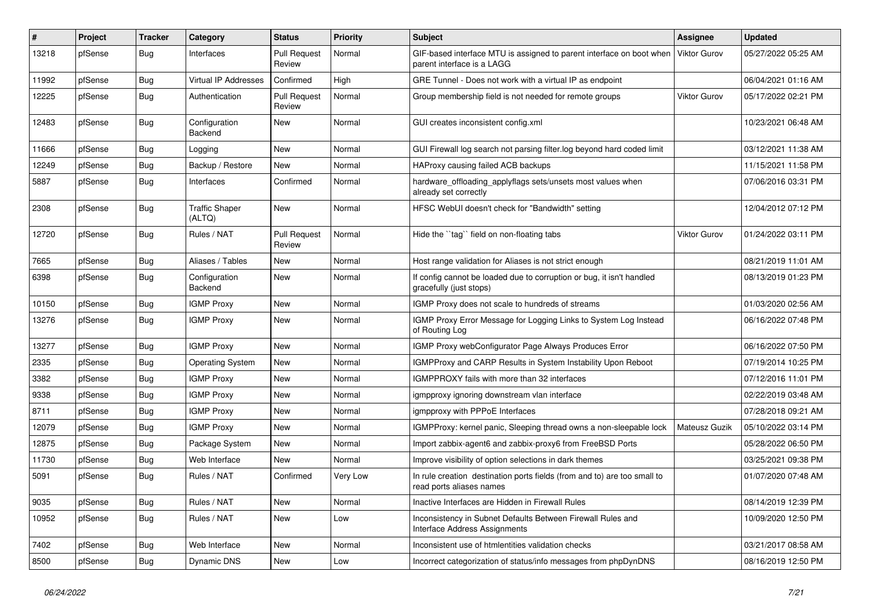| $\sharp$ | Project | <b>Tracker</b> | Category                        | <b>Status</b>                 | <b>Priority</b> | <b>Subject</b>                                                                                       | <b>Assignee</b>     | <b>Updated</b>      |
|----------|---------|----------------|---------------------------------|-------------------------------|-----------------|------------------------------------------------------------------------------------------------------|---------------------|---------------------|
| 13218    | pfSense | Bug            | Interfaces                      | <b>Pull Request</b><br>Review | Normal          | GIF-based interface MTU is assigned to parent interface on boot when<br>parent interface is a LAGG   | <b>Viktor Gurov</b> | 05/27/2022 05:25 AM |
| 11992    | pfSense | Bug            | Virtual IP Addresses            | Confirmed                     | High            | GRE Tunnel - Does not work with a virtual IP as endpoint                                             |                     | 06/04/2021 01:16 AM |
| 12225    | pfSense | Bug            | Authentication                  | <b>Pull Request</b><br>Review | Normal          | Group membership field is not needed for remote groups                                               | <b>Viktor Gurov</b> | 05/17/2022 02:21 PM |
| 12483    | pfSense | Bug            | Configuration<br><b>Backend</b> | New                           | Normal          | GUI creates inconsistent config.xml                                                                  |                     | 10/23/2021 06:48 AM |
| 11666    | pfSense | Bug            | Logging                         | <b>New</b>                    | Normal          | GUI Firewall log search not parsing filter.log beyond hard coded limit                               |                     | 03/12/2021 11:38 AM |
| 12249    | pfSense | <b>Bug</b>     | Backup / Restore                | New                           | Normal          | HAProxy causing failed ACB backups                                                                   |                     | 11/15/2021 11:58 PM |
| 5887     | pfSense | Bug            | Interfaces                      | Confirmed                     | Normal          | hardware_offloading_applyflags sets/unsets most values when<br>already set correctly                 |                     | 07/06/2016 03:31 PM |
| 2308     | pfSense | Bug            | <b>Traffic Shaper</b><br>(ALTQ) | New                           | Normal          | HFSC WebUI doesn't check for "Bandwidth" setting                                                     |                     | 12/04/2012 07:12 PM |
| 12720    | pfSense | <b>Bug</b>     | Rules / NAT                     | <b>Pull Request</b><br>Review | Normal          | Hide the "tag" field on non-floating tabs                                                            | Viktor Gurov        | 01/24/2022 03:11 PM |
| 7665     | pfSense | Bug            | Aliases / Tables                | <b>New</b>                    | Normal          | Host range validation for Aliases is not strict enough                                               |                     | 08/21/2019 11:01 AM |
| 6398     | pfSense | Bug            | Configuration<br>Backend        | New                           | Normal          | If config cannot be loaded due to corruption or bug, it isn't handled<br>gracefully (just stops)     |                     | 08/13/2019 01:23 PM |
| 10150    | pfSense | <b>Bug</b>     | <b>IGMP Proxy</b>               | New                           | Normal          | IGMP Proxy does not scale to hundreds of streams                                                     |                     | 01/03/2020 02:56 AM |
| 13276    | pfSense | Bug            | <b>IGMP Proxy</b>               | New                           | Normal          | IGMP Proxy Error Message for Logging Links to System Log Instead<br>of Routing Log                   |                     | 06/16/2022 07:48 PM |
| 13277    | pfSense | Bug            | <b>IGMP Proxy</b>               | New                           | Normal          | IGMP Proxy webConfigurator Page Always Produces Error                                                |                     | 06/16/2022 07:50 PM |
| 2335     | pfSense | Bug            | <b>Operating System</b>         | New                           | Normal          | IGMPProxy and CARP Results in System Instability Upon Reboot                                         |                     | 07/19/2014 10:25 PM |
| 3382     | pfSense | <b>Bug</b>     | <b>IGMP Proxy</b>               | <b>New</b>                    | Normal          | IGMPPROXY fails with more than 32 interfaces                                                         |                     | 07/12/2016 11:01 PM |
| 9338     | pfSense | Bug            | <b>IGMP Proxy</b>               | New                           | Normal          | igmpproxy ignoring downstream vlan interface                                                         |                     | 02/22/2019 03:48 AM |
| 8711     | pfSense | Bug            | <b>IGMP Proxy</b>               | <b>New</b>                    | Normal          | igmpproxy with PPPoE Interfaces                                                                      |                     | 07/28/2018 09:21 AM |
| 12079    | pfSense | <b>Bug</b>     | <b>IGMP Proxy</b>               | <b>New</b>                    | Normal          | IGMPProxy: kernel panic, Sleeping thread owns a non-sleepable lock                                   | Mateusz Guzik       | 05/10/2022 03:14 PM |
| 12875    | pfSense | Bug            | Package System                  | New                           | Normal          | Import zabbix-agent6 and zabbix-proxy6 from FreeBSD Ports                                            |                     | 05/28/2022 06:50 PM |
| 11730    | pfSense | Bug            | Web Interface                   | New                           | Normal          | Improve visibility of option selections in dark themes                                               |                     | 03/25/2021 09:38 PM |
| 5091     | pfSense | Bug            | Rules / NAT                     | Confirmed                     | Very Low        | In rule creation destination ports fields (from and to) are too small to<br>read ports aliases names |                     | 01/07/2020 07:48 AM |
| 9035     | pfSense | <b>Bug</b>     | Rules / NAT                     | New                           | Normal          | Inactive Interfaces are Hidden in Firewall Rules                                                     |                     | 08/14/2019 12:39 PM |
| 10952    | pfSense | Bug            | Rules / NAT                     | New                           | Low             | Inconsistency in Subnet Defaults Between Firewall Rules and<br>Interface Address Assignments         |                     | 10/09/2020 12:50 PM |
| 7402     | pfSense | <b>Bug</b>     | Web Interface                   | New                           | Normal          | Inconsistent use of htmlentities validation checks                                                   |                     | 03/21/2017 08:58 AM |
| 8500     | pfSense | Bug            | Dynamic DNS                     | New                           | Low             | Incorrect categorization of status/info messages from phpDynDNS                                      |                     | 08/16/2019 12:50 PM |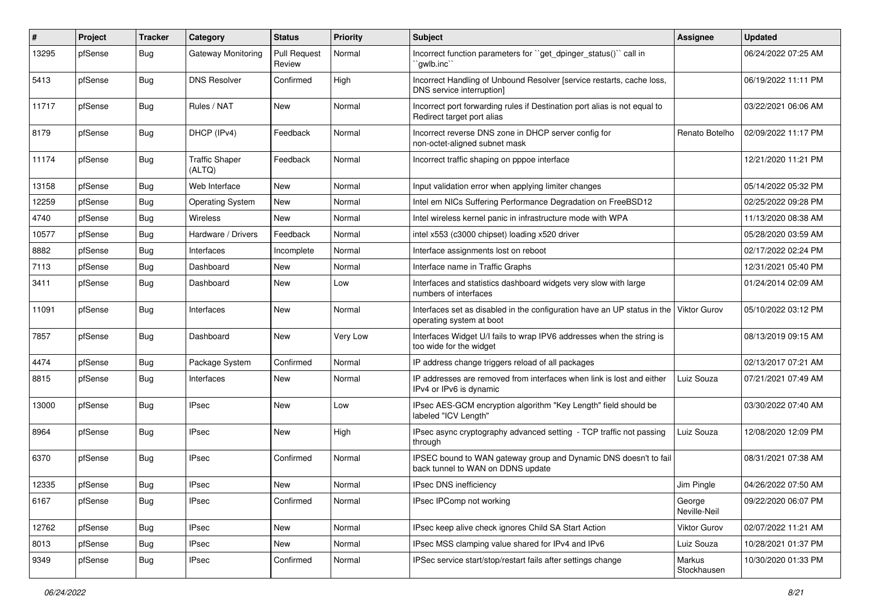| #     | Project | <b>Tracker</b> | Category                        | <b>Status</b>                 | <b>Priority</b> | <b>Subject</b>                                                                                            | <b>Assignee</b>        | <b>Updated</b>      |
|-------|---------|----------------|---------------------------------|-------------------------------|-----------------|-----------------------------------------------------------------------------------------------------------|------------------------|---------------------|
| 13295 | pfSense | Bug            | Gateway Monitoring              | <b>Pull Request</b><br>Review | Normal          | Incorrect function parameters for "get_dpinger_status()" call in<br>`gwlb.inc`                            |                        | 06/24/2022 07:25 AM |
| 5413  | pfSense | Bug            | <b>DNS Resolver</b>             | Confirmed                     | High            | Incorrect Handling of Unbound Resolver [service restarts, cache loss,<br><b>DNS</b> service interruption] |                        | 06/19/2022 11:11 PM |
| 11717 | pfSense | <b>Bug</b>     | Rules / NAT                     | New                           | Normal          | Incorrect port forwarding rules if Destination port alias is not equal to<br>Redirect target port alias   |                        | 03/22/2021 06:06 AM |
| 8179  | pfSense | Bug            | DHCP (IPv4)                     | Feedback                      | Normal          | Incorrect reverse DNS zone in DHCP server config for<br>non-octet-aligned subnet mask                     | Renato Botelho         | 02/09/2022 11:17 PM |
| 11174 | pfSense | Bug            | <b>Traffic Shaper</b><br>(ALTQ) | Feedback                      | Normal          | Incorrect traffic shaping on pppoe interface                                                              |                        | 12/21/2020 11:21 PM |
| 13158 | pfSense | Bug            | Web Interface                   | New                           | Normal          | Input validation error when applying limiter changes                                                      |                        | 05/14/2022 05:32 PM |
| 12259 | pfSense | Bug            | <b>Operating System</b>         | New                           | Normal          | Intel em NICs Suffering Performance Degradation on FreeBSD12                                              |                        | 02/25/2022 09:28 PM |
| 4740  | pfSense | <b>Bug</b>     | Wireless                        | New                           | Normal          | Intel wireless kernel panic in infrastructure mode with WPA                                               |                        | 11/13/2020 08:38 AM |
| 10577 | pfSense | Bug            | Hardware / Drivers              | Feedback                      | Normal          | intel x553 (c3000 chipset) loading x520 driver                                                            |                        | 05/28/2020 03:59 AM |
| 8882  | pfSense | <b>Bug</b>     | Interfaces                      | Incomplete                    | Normal          | Interface assignments lost on reboot                                                                      |                        | 02/17/2022 02:24 PM |
| 7113  | pfSense | <b>Bug</b>     | Dashboard                       | New                           | Normal          | Interface name in Traffic Graphs                                                                          |                        | 12/31/2021 05:40 PM |
| 3411  | pfSense | Bug            | Dashboard                       | New                           | Low             | Interfaces and statistics dashboard widgets very slow with large<br>numbers of interfaces                 |                        | 01/24/2014 02:09 AM |
| 11091 | pfSense | Bug            | Interfaces                      | New                           | Normal          | Interfaces set as disabled in the configuration have an UP status in the<br>operating system at boot      | <b>Viktor Gurov</b>    | 05/10/2022 03:12 PM |
| 7857  | pfSense | <b>Bug</b>     | Dashboard                       | New                           | <b>Very Low</b> | Interfaces Widget U/I fails to wrap IPV6 addresses when the string is<br>too wide for the widget          |                        | 08/13/2019 09:15 AM |
| 4474  | pfSense | Bug            | Package System                  | Confirmed                     | Normal          | IP address change triggers reload of all packages                                                         |                        | 02/13/2017 07:21 AM |
| 8815  | pfSense | <b>Bug</b>     | Interfaces                      | New                           | Normal          | IP addresses are removed from interfaces when link is lost and either<br>IPv4 or IPv6 is dynamic          | Luiz Souza             | 07/21/2021 07:49 AM |
| 13000 | pfSense | Bug            | <b>IPsec</b>                    | New                           | Low             | IPsec AES-GCM encryption algorithm "Key Length" field should be<br>labeled "ICV Length"                   |                        | 03/30/2022 07:40 AM |
| 8964  | pfSense | Bug            | <b>IPsec</b>                    | New                           | High            | IPsec async cryptography advanced setting - TCP traffic not passing<br>through                            | Luiz Souza             | 12/08/2020 12:09 PM |
| 6370  | pfSense | Bug            | <b>IPsec</b>                    | Confirmed                     | Normal          | IPSEC bound to WAN gateway group and Dynamic DNS doesn't to fail<br>back tunnel to WAN on DDNS update     |                        | 08/31/2021 07:38 AM |
| 12335 | pfSense | <b>Bug</b>     | <b>IPsec</b>                    | New                           | Normal          | IPsec DNS inefficiency                                                                                    | Jim Pingle             | 04/26/2022 07:50 AM |
| 6167  | pfSense | <b>Bug</b>     | <b>IPsec</b>                    | Confirmed                     | Normal          | IPsec IPComp not working                                                                                  | George<br>Neville-Neil | 09/22/2020 06:07 PM |
| 12762 | pfSense | <b>Bug</b>     | <b>IPsec</b>                    | New                           | Normal          | IPsec keep alive check ignores Child SA Start Action                                                      | Viktor Gurov           | 02/07/2022 11:21 AM |
| 8013  | pfSense | Bug            | <b>IPsec</b>                    | New                           | Normal          | IPsec MSS clamping value shared for IPv4 and IPv6                                                         | Luiz Souza             | 10/28/2021 01:37 PM |
| 9349  | pfSense | <b>Bug</b>     | <b>IPsec</b>                    | Confirmed                     | Normal          | IPSec service start/stop/restart fails after settings change                                              | Markus<br>Stockhausen  | 10/30/2020 01:33 PM |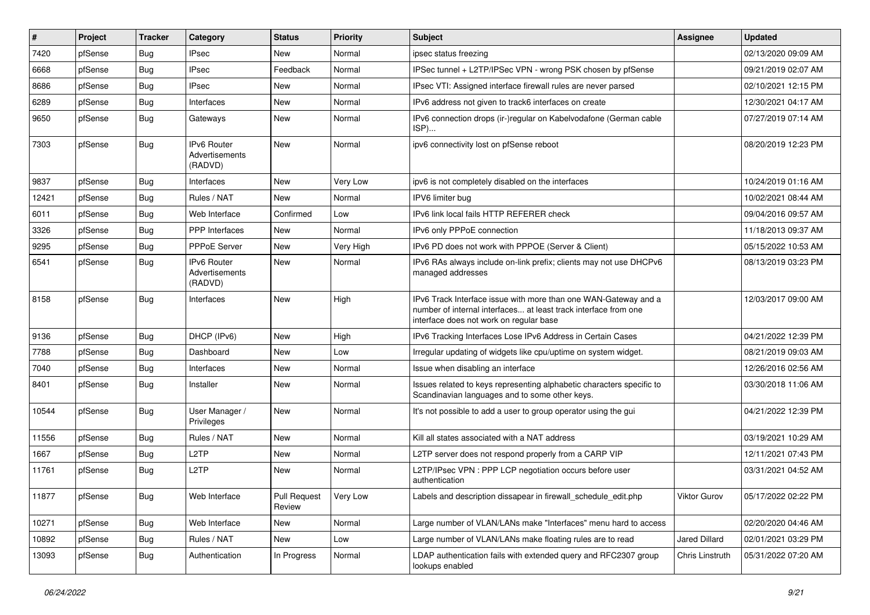| #     | Project | <b>Tracker</b> | Category                                        | <b>Status</b>                 | <b>Priority</b> | <b>Subject</b>                                                                                                                                                                | <b>Assignee</b> | <b>Updated</b>      |
|-------|---------|----------------|-------------------------------------------------|-------------------------------|-----------------|-------------------------------------------------------------------------------------------------------------------------------------------------------------------------------|-----------------|---------------------|
| 7420  | pfSense | Bug            | <b>IPsec</b>                                    | New                           | Normal          | ipsec status freezing                                                                                                                                                         |                 | 02/13/2020 09:09 AM |
| 6668  | pfSense | <b>Bug</b>     | <b>IPsec</b>                                    | Feedback                      | Normal          | IPSec tunnel + L2TP/IPSec VPN - wrong PSK chosen by pfSense                                                                                                                   |                 | 09/21/2019 02:07 AM |
| 8686  | pfSense | Bug            | <b>IPsec</b>                                    | New                           | Normal          | IPsec VTI: Assigned interface firewall rules are never parsed                                                                                                                 |                 | 02/10/2021 12:15 PM |
| 6289  | pfSense | <b>Bug</b>     | Interfaces                                      | New                           | Normal          | IPv6 address not given to track6 interfaces on create                                                                                                                         |                 | 12/30/2021 04:17 AM |
| 9650  | pfSense | Bug            | Gateways                                        | New                           | Normal          | IPv6 connection drops (ir-)regular on Kabelvodafone (German cable<br>ISP)                                                                                                     |                 | 07/27/2019 07:14 AM |
| 7303  | pfSense | Bug            | <b>IPv6 Router</b><br>Advertisements<br>(RADVD) | <b>New</b>                    | Normal          | ipv6 connectivity lost on pfSense reboot                                                                                                                                      |                 | 08/20/2019 12:23 PM |
| 9837  | pfSense | Bug            | Interfaces                                      | <b>New</b>                    | Very Low        | ipv6 is not completely disabled on the interfaces                                                                                                                             |                 | 10/24/2019 01:16 AM |
| 12421 | pfSense | Bug            | Rules / NAT                                     | New                           | Normal          | IPV6 limiter bug                                                                                                                                                              |                 | 10/02/2021 08:44 AM |
| 6011  | pfSense | Bug            | Web Interface                                   | Confirmed                     | Low             | IPv6 link local fails HTTP REFERER check                                                                                                                                      |                 | 09/04/2016 09:57 AM |
| 3326  | pfSense | Bug            | PPP Interfaces                                  | New                           | Normal          | IPv6 only PPPoE connection                                                                                                                                                    |                 | 11/18/2013 09:37 AM |
| 9295  | pfSense | <b>Bug</b>     | <b>PPPoE Server</b>                             | New                           | Very High       | IPv6 PD does not work with PPPOE (Server & Client)                                                                                                                            |                 | 05/15/2022 10:53 AM |
| 6541  | pfSense | Bug            | IPv6 Router<br>Advertisements<br>(RADVD)        | <b>New</b>                    | Normal          | IPv6 RAs always include on-link prefix; clients may not use DHCPv6<br>managed addresses                                                                                       |                 | 08/13/2019 03:23 PM |
| 8158  | pfSense | Bug            | Interfaces                                      | <b>New</b>                    | High            | IPv6 Track Interface issue with more than one WAN-Gateway and a<br>number of internal interfaces at least track interface from one<br>interface does not work on regular base |                 | 12/03/2017 09:00 AM |
| 9136  | pfSense | Bug            | DHCP (IPv6)                                     | <b>New</b>                    | High            | IPv6 Tracking Interfaces Lose IPv6 Address in Certain Cases                                                                                                                   |                 | 04/21/2022 12:39 PM |
| 7788  | pfSense | Bug            | Dashboard                                       | New                           | Low             | Irregular updating of widgets like cpu/uptime on system widget.                                                                                                               |                 | 08/21/2019 09:03 AM |
| 7040  | pfSense | <b>Bug</b>     | Interfaces                                      | New                           | Normal          | Issue when disabling an interface                                                                                                                                             |                 | 12/26/2016 02:56 AM |
| 8401  | pfSense | Bug            | Installer                                       | <b>New</b>                    | Normal          | Issues related to keys representing alphabetic characters specific to<br>Scandinavian languages and to some other keys.                                                       |                 | 03/30/2018 11:06 AM |
| 10544 | pfSense | Bug            | User Manager /<br>Privileges                    | New                           | Normal          | It's not possible to add a user to group operator using the gui                                                                                                               |                 | 04/21/2022 12:39 PM |
| 11556 | pfSense | Bug            | Rules / NAT                                     | New                           | Normal          | Kill all states associated with a NAT address                                                                                                                                 |                 | 03/19/2021 10:29 AM |
| 1667  | pfSense | <b>Bug</b>     | L <sub>2</sub> TP                               | New                           | Normal          | L2TP server does not respond properly from a CARP VIP                                                                                                                         |                 | 12/11/2021 07:43 PM |
| 11761 | pfSense | Bug            | L <sub>2</sub> TP                               | New                           | Normal          | L2TP/IPsec VPN : PPP LCP negotiation occurs before user<br>authentication                                                                                                     |                 | 03/31/2021 04:52 AM |
| 11877 | pfSense | <b>Bug</b>     | Web Interface                                   | <b>Pull Request</b><br>Review | Very Low        | Labels and description dissapear in firewall schedule edit.php                                                                                                                | Viktor Gurov    | 05/17/2022 02:22 PM |
| 10271 | pfSense | <b>Bug</b>     | Web Interface                                   | New                           | Normal          | Large number of VLAN/LANs make "Interfaces" menu hard to access                                                                                                               |                 | 02/20/2020 04:46 AM |
| 10892 | pfSense | <b>Bug</b>     | Rules / NAT                                     | New                           | Low             | Large number of VLAN/LANs make floating rules are to read                                                                                                                     | Jared Dillard   | 02/01/2021 03:29 PM |
| 13093 | pfSense | <b>Bug</b>     | Authentication                                  | In Progress                   | Normal          | LDAP authentication fails with extended query and RFC2307 group<br>lookups enabled                                                                                            | Chris Linstruth | 05/31/2022 07:20 AM |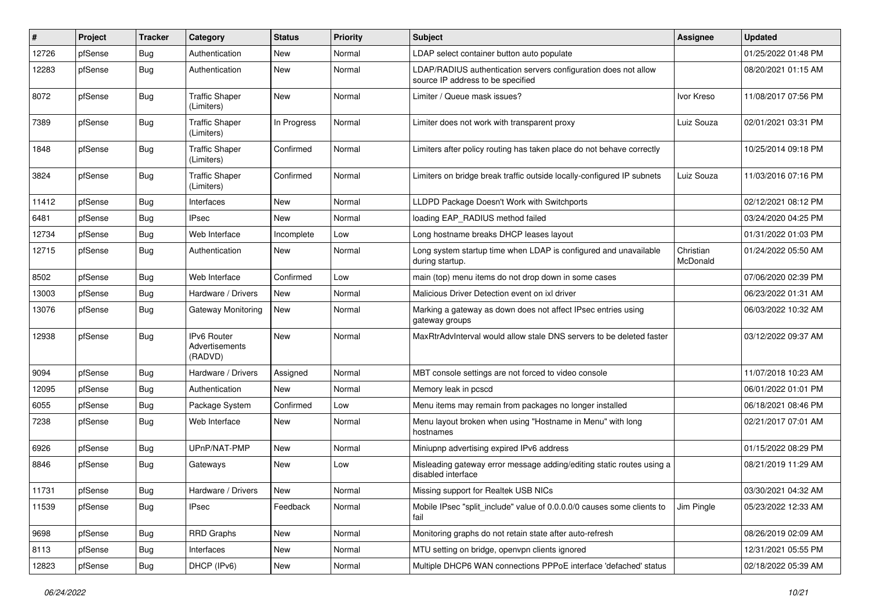| #     | Project | <b>Tracker</b> | Category                                 | <b>Status</b> | <b>Priority</b> | <b>Subject</b>                                                                                       | Assignee              | <b>Updated</b>      |
|-------|---------|----------------|------------------------------------------|---------------|-----------------|------------------------------------------------------------------------------------------------------|-----------------------|---------------------|
| 12726 | pfSense | <b>Bug</b>     | Authentication                           | New           | Normal          | LDAP select container button auto populate                                                           |                       | 01/25/2022 01:48 PM |
| 12283 | pfSense | <b>Bug</b>     | Authentication                           | <b>New</b>    | Normal          | LDAP/RADIUS authentication servers configuration does not allow<br>source IP address to be specified |                       | 08/20/2021 01:15 AM |
| 8072  | pfSense | Bug            | <b>Traffic Shaper</b><br>(Limiters)      | New           | Normal          | Limiter / Queue mask issues?                                                                         | Ivor Kreso            | 11/08/2017 07:56 PM |
| 7389  | pfSense | Bug            | <b>Traffic Shaper</b><br>(Limiters)      | In Progress   | Normal          | Limiter does not work with transparent proxy                                                         | Luiz Souza            | 02/01/2021 03:31 PM |
| 1848  | pfSense | <b>Bug</b>     | <b>Traffic Shaper</b><br>(Limiters)      | Confirmed     | Normal          | Limiters after policy routing has taken place do not behave correctly                                |                       | 10/25/2014 09:18 PM |
| 3824  | pfSense | Bug            | <b>Traffic Shaper</b><br>(Limiters)      | Confirmed     | Normal          | Limiters on bridge break traffic outside locally-configured IP subnets                               | Luiz Souza            | 11/03/2016 07:16 PM |
| 11412 | pfSense | <b>Bug</b>     | Interfaces                               | New           | Normal          | LLDPD Package Doesn't Work with Switchports                                                          |                       | 02/12/2021 08:12 PM |
| 6481  | pfSense | <b>Bug</b>     | <b>IPsec</b>                             | <b>New</b>    | Normal          | loading EAP_RADIUS method failed                                                                     |                       | 03/24/2020 04:25 PM |
| 12734 | pfSense | Bug            | Web Interface                            | Incomplete    | Low             | Long hostname breaks DHCP leases layout                                                              |                       | 01/31/2022 01:03 PM |
| 12715 | pfSense | Bug            | Authentication                           | New           | Normal          | Long system startup time when LDAP is configured and unavailable<br>during startup.                  | Christian<br>McDonald | 01/24/2022 05:50 AM |
| 8502  | pfSense | <b>Bug</b>     | Web Interface                            | Confirmed     | Low             | main (top) menu items do not drop down in some cases                                                 |                       | 07/06/2020 02:39 PM |
| 13003 | pfSense | <b>Bug</b>     | Hardware / Drivers                       | New           | Normal          | Malicious Driver Detection event on ixl driver                                                       |                       | 06/23/2022 01:31 AM |
| 13076 | pfSense | Bug            | Gateway Monitoring                       | New           | Normal          | Marking a gateway as down does not affect IPsec entries using<br>gateway groups                      |                       | 06/03/2022 10:32 AM |
| 12938 | pfSense | <b>Bug</b>     | IPv6 Router<br>Advertisements<br>(RADVD) | New           | Normal          | MaxRtrAdvInterval would allow stale DNS servers to be deleted faster                                 |                       | 03/12/2022 09:37 AM |
| 9094  | pfSense | <b>Bug</b>     | Hardware / Drivers                       | Assigned      | Normal          | MBT console settings are not forced to video console                                                 |                       | 11/07/2018 10:23 AM |
| 12095 | pfSense | <b>Bug</b>     | Authentication                           | New           | Normal          | Memory leak in pcscd                                                                                 |                       | 06/01/2022 01:01 PM |
| 6055  | pfSense | Bug            | Package System                           | Confirmed     | Low             | Menu items may remain from packages no longer installed                                              |                       | 06/18/2021 08:46 PM |
| 7238  | pfSense | <b>Bug</b>     | Web Interface                            | New           | Normal          | Menu layout broken when using "Hostname in Menu" with long<br>hostnames                              |                       | 02/21/2017 07:01 AM |
| 6926  | pfSense | <b>Bug</b>     | UPnP/NAT-PMP                             | New           | Normal          | Miniupnp advertising expired IPv6 address                                                            |                       | 01/15/2022 08:29 PM |
| 8846  | pfSense | Bug            | Gateways                                 | New           | Low             | Misleading gateway error message adding/editing static routes using a<br>disabled interface          |                       | 08/21/2019 11:29 AM |
| 11731 | pfSense | <b>Bug</b>     | Hardware / Drivers                       | New           | Normal          | Missing support for Realtek USB NICs                                                                 |                       | 03/30/2021 04:32 AM |
| 11539 | pfSense | Bug            | <b>IPsec</b>                             | Feedback      | Normal          | Mobile IPsec "split include" value of 0.0.0.0/0 causes some clients to<br>fail                       | Jim Pingle            | 05/23/2022 12:33 AM |
| 9698  | pfSense | <b>Bug</b>     | <b>RRD Graphs</b>                        | New           | Normal          | Monitoring graphs do not retain state after auto-refresh                                             |                       | 08/26/2019 02:09 AM |
| 8113  | pfSense | <b>Bug</b>     | Interfaces                               | New           | Normal          | MTU setting on bridge, openvpn clients ignored                                                       |                       | 12/31/2021 05:55 PM |
| 12823 | pfSense | <b>Bug</b>     | DHCP (IPv6)                              | New           | Normal          | Multiple DHCP6 WAN connections PPPoE interface 'defached' status                                     |                       | 02/18/2022 05:39 AM |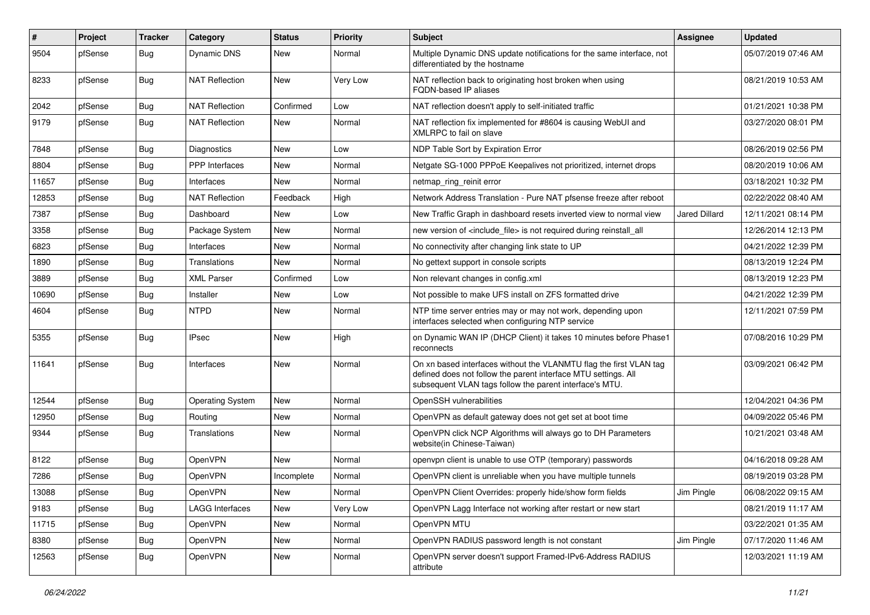| $\pmb{\#}$ | Project | <b>Tracker</b> | Category                | <b>Status</b> | <b>Priority</b> | <b>Subject</b>                                                                                                                                                                                  | Assignee      | <b>Updated</b>      |
|------------|---------|----------------|-------------------------|---------------|-----------------|-------------------------------------------------------------------------------------------------------------------------------------------------------------------------------------------------|---------------|---------------------|
| 9504       | pfSense | Bug            | Dynamic DNS             | New           | Normal          | Multiple Dynamic DNS update notifications for the same interface, not<br>differentiated by the hostname                                                                                         |               | 05/07/2019 07:46 AM |
| 8233       | pfSense | Bug            | <b>NAT Reflection</b>   | New           | <b>Very Low</b> | NAT reflection back to originating host broken when using<br>FQDN-based IP aliases                                                                                                              |               | 08/21/2019 10:53 AM |
| 2042       | pfSense | <b>Bug</b>     | <b>NAT Reflection</b>   | Confirmed     | Low             | NAT reflection doesn't apply to self-initiated traffic                                                                                                                                          |               | 01/21/2021 10:38 PM |
| 9179       | pfSense | Bug            | <b>NAT Reflection</b>   | New           | Normal          | NAT reflection fix implemented for #8604 is causing WebUI and<br>XMLRPC to fail on slave                                                                                                        |               | 03/27/2020 08:01 PM |
| 7848       | pfSense | Bug            | Diagnostics             | New           | Low             | NDP Table Sort by Expiration Error                                                                                                                                                              |               | 08/26/2019 02:56 PM |
| 8804       | pfSense | Bug            | PPP Interfaces          | New           | Normal          | Netgate SG-1000 PPPoE Keepalives not prioritized, internet drops                                                                                                                                |               | 08/20/2019 10:06 AM |
| 11657      | pfSense | <b>Bug</b>     | Interfaces              | New           | Normal          | netmap_ring_reinit error                                                                                                                                                                        |               | 03/18/2021 10:32 PM |
| 12853      | pfSense | Bug            | <b>NAT Reflection</b>   | Feedback      | High            | Network Address Translation - Pure NAT pfsense freeze after reboot                                                                                                                              |               | 02/22/2022 08:40 AM |
| 7387       | pfSense | Bug            | Dashboard               | New           | Low             | New Traffic Graph in dashboard resets inverted view to normal view                                                                                                                              | Jared Dillard | 12/11/2021 08:14 PM |
| 3358       | pfSense | Bug            | Package System          | New           | Normal          | new version of <include file=""> is not required during reinstall all</include>                                                                                                                 |               | 12/26/2014 12:13 PM |
| 6823       | pfSense | <b>Bug</b>     | Interfaces              | New           | Normal          | No connectivity after changing link state to UP                                                                                                                                                 |               | 04/21/2022 12:39 PM |
| 1890       | pfSense | <b>Bug</b>     | Translations            | New           | Normal          | No gettext support in console scripts                                                                                                                                                           |               | 08/13/2019 12:24 PM |
| 3889       | pfSense | Bug            | <b>XML Parser</b>       | Confirmed     | Low             | Non relevant changes in config.xml                                                                                                                                                              |               | 08/13/2019 12:23 PM |
| 10690      | pfSense | Bug            | Installer               | New           | Low             | Not possible to make UFS install on ZFS formatted drive                                                                                                                                         |               | 04/21/2022 12:39 PM |
| 4604       | pfSense | <b>Bug</b>     | <b>NTPD</b>             | New           | Normal          | NTP time server entries may or may not work, depending upon<br>interfaces selected when configuring NTP service                                                                                 |               | 12/11/2021 07:59 PM |
| 5355       | pfSense | Bug            | <b>IPsec</b>            | New           | High            | on Dynamic WAN IP (DHCP Client) it takes 10 minutes before Phase1<br>reconnects                                                                                                                 |               | 07/08/2016 10:29 PM |
| 11641      | pfSense | <b>Bug</b>     | Interfaces              | New           | Normal          | On xn based interfaces without the VLANMTU flag the first VLAN tag<br>defined does not follow the parent interface MTU settings. All<br>subsequent VLAN tags follow the parent interface's MTU. |               | 03/09/2021 06:42 PM |
| 12544      | pfSense | Bug            | <b>Operating System</b> | New           | Normal          | OpenSSH vulnerabilities                                                                                                                                                                         |               | 12/04/2021 04:36 PM |
| 12950      | pfSense | <b>Bug</b>     | Routing                 | New           | Normal          | OpenVPN as default gateway does not get set at boot time                                                                                                                                        |               | 04/09/2022 05:46 PM |
| 9344       | pfSense | Bug            | Translations            | New           | Normal          | OpenVPN click NCP Algorithms will always go to DH Parameters<br>website(in Chinese-Taiwan)                                                                                                      |               | 10/21/2021 03:48 AM |
| 8122       | pfSense | Bug            | OpenVPN                 | New           | Normal          | openvpn client is unable to use OTP (temporary) passwords                                                                                                                                       |               | 04/16/2018 09:28 AM |
| 7286       | pfSense | Bug            | OpenVPN                 | Incomplete    | Normal          | OpenVPN client is unreliable when you have multiple tunnels                                                                                                                                     |               | 08/19/2019 03:28 PM |
| 13088      | pfSense | Bug            | OpenVPN                 | New           | Normal          | OpenVPN Client Overrides: properly hide/show form fields                                                                                                                                        | Jim Pingle    | 06/08/2022 09:15 AM |
| 9183       | pfSense | Bug            | LAGG Interfaces         | New           | Very Low        | OpenVPN Lagg Interface not working after restart or new start                                                                                                                                   |               | 08/21/2019 11:17 AM |
| 11715      | pfSense | <b>Bug</b>     | OpenVPN                 | New           | Normal          | OpenVPN MTU                                                                                                                                                                                     |               | 03/22/2021 01:35 AM |
| 8380       | pfSense | Bug            | OpenVPN                 | New           | Normal          | OpenVPN RADIUS password length is not constant                                                                                                                                                  | Jim Pingle    | 07/17/2020 11:46 AM |
| 12563      | pfSense | <b>Bug</b>     | OpenVPN                 | New           | Normal          | OpenVPN server doesn't support Framed-IPv6-Address RADIUS<br>attribute                                                                                                                          |               | 12/03/2021 11:19 AM |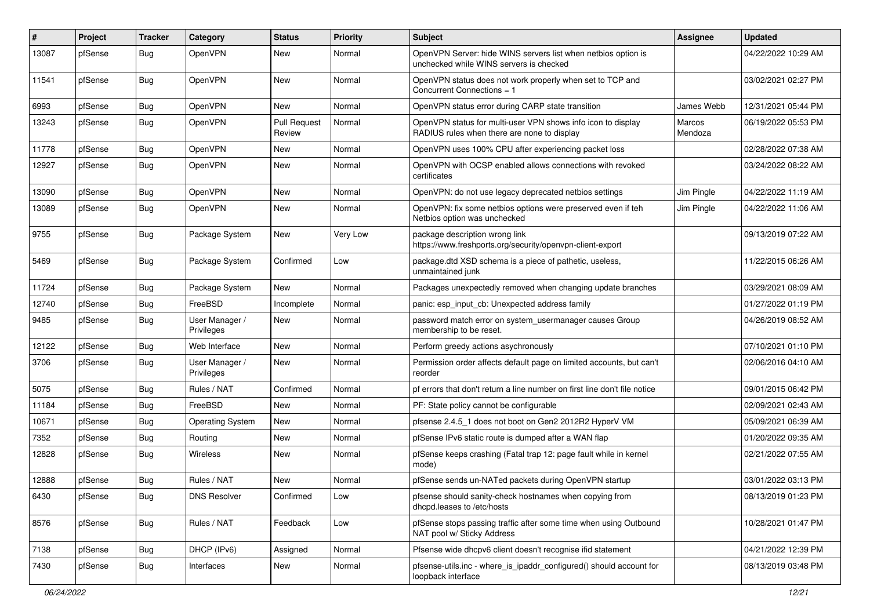| #     | Project | <b>Tracker</b> | Category                     | <b>Status</b>                 | Priority | <b>Subject</b>                                                                                              | Assignee          | <b>Updated</b>      |
|-------|---------|----------------|------------------------------|-------------------------------|----------|-------------------------------------------------------------------------------------------------------------|-------------------|---------------------|
| 13087 | pfSense | Bug            | OpenVPN                      | New                           | Normal   | OpenVPN Server: hide WINS servers list when netbios option is<br>unchecked while WINS servers is checked    |                   | 04/22/2022 10:29 AM |
| 11541 | pfSense | Bug            | OpenVPN                      | New                           | Normal   | OpenVPN status does not work properly when set to TCP and<br>Concurrent Connections = 1                     |                   | 03/02/2021 02:27 PM |
| 6993  | pfSense | Bug            | OpenVPN                      | <b>New</b>                    | Normal   | OpenVPN status error during CARP state transition                                                           | James Webb        | 12/31/2021 05:44 PM |
| 13243 | pfSense | Bug            | <b>OpenVPN</b>               | <b>Pull Request</b><br>Review | Normal   | OpenVPN status for multi-user VPN shows info icon to display<br>RADIUS rules when there are none to display | Marcos<br>Mendoza | 06/19/2022 05:53 PM |
| 11778 | pfSense | Bug            | OpenVPN                      | <b>New</b>                    | Normal   | OpenVPN uses 100% CPU after experiencing packet loss                                                        |                   | 02/28/2022 07:38 AM |
| 12927 | pfSense | Bug            | OpenVPN                      | New                           | Normal   | OpenVPN with OCSP enabled allows connections with revoked<br>certificates                                   |                   | 03/24/2022 08:22 AM |
| 13090 | pfSense | Bug            | OpenVPN                      | New                           | Normal   | OpenVPN: do not use legacy deprecated netbios settings                                                      | Jim Pingle        | 04/22/2022 11:19 AM |
| 13089 | pfSense | Bug            | OpenVPN                      | New                           | Normal   | OpenVPN: fix some netbios options were preserved even if teh<br>Netbios option was unchecked                | Jim Pingle        | 04/22/2022 11:06 AM |
| 9755  | pfSense | Bug            | Package System               | New                           | Very Low | package description wrong link<br>https://www.freshports.org/security/openvpn-client-export                 |                   | 09/13/2019 07:22 AM |
| 5469  | pfSense | Bug            | Package System               | Confirmed                     | Low      | package.dtd XSD schema is a piece of pathetic, useless,<br>unmaintained junk                                |                   | 11/22/2015 06:26 AM |
| 11724 | pfSense | Bug            | Package System               | New                           | Normal   | Packages unexpectedly removed when changing update branches                                                 |                   | 03/29/2021 08:09 AM |
| 12740 | pfSense | Bug            | FreeBSD                      | Incomplete                    | Normal   | panic: esp_input_cb: Unexpected address family                                                              |                   | 01/27/2022 01:19 PM |
| 9485  | pfSense | Bug            | User Manager /<br>Privileges | New                           | Normal   | password match error on system usermanager causes Group<br>membership to be reset.                          |                   | 04/26/2019 08:52 AM |
| 12122 | pfSense | Bug            | Web Interface                | New                           | Normal   | Perform greedy actions asychronously                                                                        |                   | 07/10/2021 01:10 PM |
| 3706  | pfSense | Bug            | User Manager /<br>Privileges | New                           | Normal   | Permission order affects default page on limited accounts, but can't<br>reorder                             |                   | 02/06/2016 04:10 AM |
| 5075  | pfSense | Bug            | Rules / NAT                  | Confirmed                     | Normal   | pf errors that don't return a line number on first line don't file notice                                   |                   | 09/01/2015 06:42 PM |
| 11184 | pfSense | Bug            | FreeBSD                      | New                           | Normal   | PF: State policy cannot be configurable                                                                     |                   | 02/09/2021 02:43 AM |
| 10671 | pfSense | Bug            | <b>Operating System</b>      | <b>New</b>                    | Normal   | pfsense 2.4.5_1 does not boot on Gen2 2012R2 HyperV VM                                                      |                   | 05/09/2021 06:39 AM |
| 7352  | pfSense | Bug            | Routing                      | New                           | Normal   | pfSense IPv6 static route is dumped after a WAN flap                                                        |                   | 01/20/2022 09:35 AM |
| 12828 | pfSense | Bug            | Wireless                     | New                           | Normal   | pfSense keeps crashing (Fatal trap 12: page fault while in kernel<br>mode)                                  |                   | 02/21/2022 07:55 AM |
| 12888 | pfSense | Bug            | Rules / NAT                  | New                           | Normal   | pfSense sends un-NATed packets during OpenVPN startup                                                       |                   | 03/01/2022 03:13 PM |
| 6430  | pfSense | <b>Bug</b>     | <b>DNS Resolver</b>          | Confirmed                     | Low      | pfsense should sanity-check hostnames when copying from<br>dhcpd.leases to /etc/hosts                       |                   | 08/13/2019 01:23 PM |
| 8576  | pfSense | <b>Bug</b>     | Rules / NAT                  | Feedback                      | Low      | pfSense stops passing traffic after some time when using Outbound<br>NAT pool w/ Sticky Address             |                   | 10/28/2021 01:47 PM |
| 7138  | pfSense | <b>Bug</b>     | DHCP (IPv6)                  | Assigned                      | Normal   | Pfsense wide dhcpv6 client doesn't recognise ifid statement                                                 |                   | 04/21/2022 12:39 PM |
| 7430  | pfSense | <b>Bug</b>     | Interfaces                   | New                           | Normal   | pfsense-utils.inc - where_is_ipaddr_configured() should account for<br>loopback interface                   |                   | 08/13/2019 03:48 PM |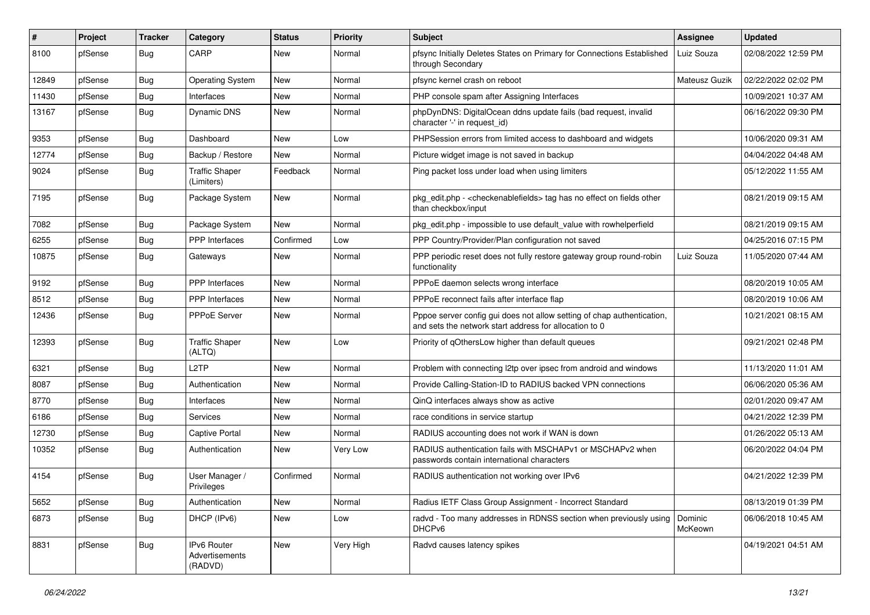| #     | Project | <b>Tracker</b> | Category                                 | <b>Status</b> | <b>Priority</b> | <b>Subject</b>                                                                                                                   | <b>Assignee</b>    | <b>Updated</b>      |
|-------|---------|----------------|------------------------------------------|---------------|-----------------|----------------------------------------------------------------------------------------------------------------------------------|--------------------|---------------------|
| 8100  | pfSense | Bug            | CARP                                     | New           | Normal          | pfsync Initially Deletes States on Primary for Connections Established<br>through Secondary                                      | Luiz Souza         | 02/08/2022 12:59 PM |
| 12849 | pfSense | Bug            | <b>Operating System</b>                  | New           | Normal          | pfsync kernel crash on reboot                                                                                                    | Mateusz Guzik      | 02/22/2022 02:02 PM |
| 11430 | pfSense | Bug            | Interfaces                               | New           | Normal          | PHP console spam after Assigning Interfaces                                                                                      |                    | 10/09/2021 10:37 AM |
| 13167 | pfSense | Bug            | <b>Dynamic DNS</b>                       | <b>New</b>    | Normal          | phpDynDNS: DigitalOcean ddns update fails (bad request, invalid<br>character '-' in request_id)                                  |                    | 06/16/2022 09:30 PM |
| 9353  | pfSense | Bug            | Dashboard                                | <b>New</b>    | Low             | PHPSession errors from limited access to dashboard and widgets                                                                   |                    | 10/06/2020 09:31 AM |
| 12774 | pfSense | Bug            | Backup / Restore                         | New           | Normal          | Picture widget image is not saved in backup                                                                                      |                    | 04/04/2022 04:48 AM |
| 9024  | pfSense | Bug            | <b>Traffic Shaper</b><br>(Limiters)      | Feedback      | Normal          | Ping packet loss under load when using limiters                                                                                  |                    | 05/12/2022 11:55 AM |
| 7195  | pfSense | Bug            | Package System                           | <b>New</b>    | Normal          | pkg_edit.php - < checkenablefields> tag has no effect on fields other<br>than checkbox/input                                     |                    | 08/21/2019 09:15 AM |
| 7082  | pfSense | Bug            | Package System                           | <b>New</b>    | Normal          | pkg edit.php - impossible to use default value with rowhelperfield                                                               |                    | 08/21/2019 09:15 AM |
| 6255  | pfSense | <b>Bug</b>     | <b>PPP</b> Interfaces                    | Confirmed     | Low             | PPP Country/Provider/Plan configuration not saved                                                                                |                    | 04/25/2016 07:15 PM |
| 10875 | pfSense | Bug            | Gateways                                 | New           | Normal          | PPP periodic reset does not fully restore gateway group round-robin<br>functionality                                             | Luiz Souza         | 11/05/2020 07:44 AM |
| 9192  | pfSense | Bug            | PPP Interfaces                           | New           | Normal          | PPPoE daemon selects wrong interface                                                                                             |                    | 08/20/2019 10:05 AM |
| 8512  | pfSense | <b>Bug</b>     | <b>PPP</b> Interfaces                    | <b>New</b>    | Normal          | PPPoE reconnect fails after interface flap                                                                                       |                    | 08/20/2019 10:06 AM |
| 12436 | pfSense | Bug            | PPPoE Server                             | New           | Normal          | Pppoe server config gui does not allow setting of chap authentication,<br>and sets the network start address for allocation to 0 |                    | 10/21/2021 08:15 AM |
| 12393 | pfSense | Bug            | <b>Traffic Shaper</b><br>(ALTQ)          | New           | Low             | Priority of gOthersLow higher than default queues                                                                                |                    | 09/21/2021 02:48 PM |
| 6321  | pfSense | Bug            | L <sub>2</sub> TP                        | New           | Normal          | Problem with connecting l2tp over ipsec from android and windows                                                                 |                    | 11/13/2020 11:01 AM |
| 8087  | pfSense | Bug            | Authentication                           | New           | Normal          | Provide Calling-Station-ID to RADIUS backed VPN connections                                                                      |                    | 06/06/2020 05:36 AM |
| 8770  | pfSense | Bug            | Interfaces                               | New           | Normal          | QinQ interfaces always show as active                                                                                            |                    | 02/01/2020 09:47 AM |
| 6186  | pfSense | Bug            | Services                                 | <b>New</b>    | Normal          | race conditions in service startup                                                                                               |                    | 04/21/2022 12:39 PM |
| 12730 | pfSense | Bug            | Captive Portal                           | New           | Normal          | RADIUS accounting does not work if WAN is down                                                                                   |                    | 01/26/2022 05:13 AM |
| 10352 | pfSense | Bug            | Authentication                           | New           | Very Low        | RADIUS authentication fails with MSCHAPv1 or MSCHAPv2 when<br>passwords contain international characters                         |                    | 06/20/2022 04:04 PM |
| 4154  | pfSense | Bug            | User Manager /<br>Privileges             | Confirmed     | Normal          | RADIUS authentication not working over IPv6                                                                                      |                    | 04/21/2022 12:39 PM |
| 5652  | pfSense | Bug            | Authentication                           | New           | Normal          | Radius IETF Class Group Assignment - Incorrect Standard                                                                          |                    | 08/13/2019 01:39 PM |
| 6873  | pfSense | Bug            | DHCP (IPv6)                              | New           | Low             | radvd - Too many addresses in RDNSS section when previously using<br>DHCPv6                                                      | Dominic<br>McKeown | 06/06/2018 10:45 AM |
| 8831  | pfSense | <b>Bug</b>     | IPv6 Router<br>Advertisements<br>(RADVD) | New           | Very High       | Radvd causes latency spikes                                                                                                      |                    | 04/19/2021 04:51 AM |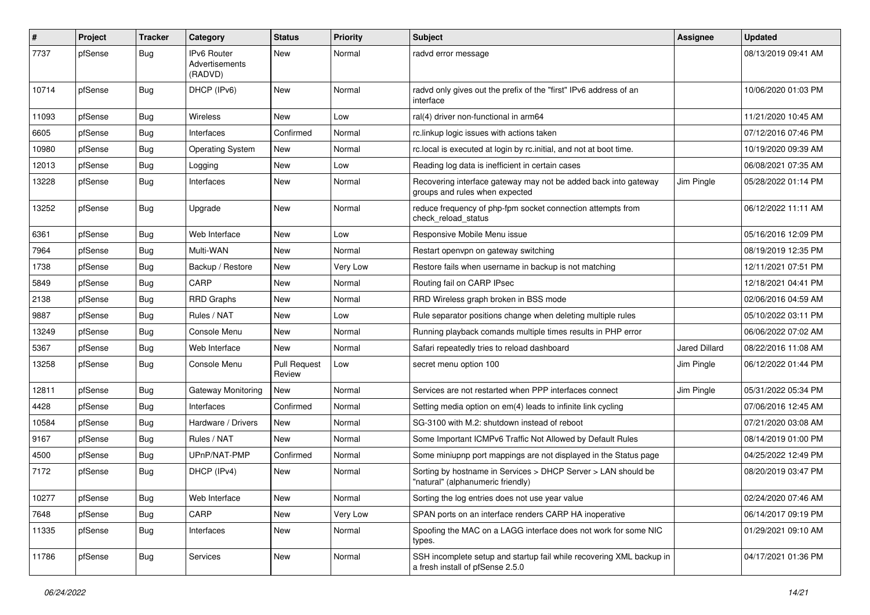| #     | Project | <b>Tracker</b> | Category                                        | <b>Status</b>                 | <b>Priority</b> | <b>Subject</b>                                                                                           | <b>Assignee</b>      | <b>Updated</b>      |
|-------|---------|----------------|-------------------------------------------------|-------------------------------|-----------------|----------------------------------------------------------------------------------------------------------|----------------------|---------------------|
| 7737  | pfSense | Bug            | <b>IPv6 Router</b><br>Advertisements<br>(RADVD) | New                           | Normal          | radvd error message                                                                                      |                      | 08/13/2019 09:41 AM |
| 10714 | pfSense | Bug            | DHCP (IPv6)                                     | New                           | Normal          | radvd only gives out the prefix of the "first" IPv6 address of an<br>interface                           |                      | 10/06/2020 01:03 PM |
| 11093 | pfSense | Bug            | <b>Wireless</b>                                 | New                           | Low             | ral(4) driver non-functional in arm64                                                                    |                      | 11/21/2020 10:45 AM |
| 6605  | pfSense | Bug            | Interfaces                                      | Confirmed                     | Normal          | rc.linkup logic issues with actions taken                                                                |                      | 07/12/2016 07:46 PM |
| 10980 | pfSense | Bug            | <b>Operating System</b>                         | New                           | Normal          | rc.local is executed at login by rc.initial, and not at boot time.                                       |                      | 10/19/2020 09:39 AM |
| 12013 | pfSense | Bug            | Logging                                         | New                           | Low             | Reading log data is inefficient in certain cases                                                         |                      | 06/08/2021 07:35 AM |
| 13228 | pfSense | Bug            | Interfaces                                      | New                           | Normal          | Recovering interface gateway may not be added back into gateway<br>groups and rules when expected        | Jim Pingle           | 05/28/2022 01:14 PM |
| 13252 | pfSense | Bug            | Upgrade                                         | New                           | Normal          | reduce frequency of php-fpm socket connection attempts from<br>check reload status                       |                      | 06/12/2022 11:11 AM |
| 6361  | pfSense | Bug            | Web Interface                                   | New                           | Low             | Responsive Mobile Menu issue                                                                             |                      | 05/16/2016 12:09 PM |
| 7964  | pfSense | Bug            | Multi-WAN                                       | <b>New</b>                    | Normal          | Restart openvpn on gateway switching                                                                     |                      | 08/19/2019 12:35 PM |
| 1738  | pfSense | Bug            | Backup / Restore                                | New                           | Very Low        | Restore fails when username in backup is not matching                                                    |                      | 12/11/2021 07:51 PM |
| 5849  | pfSense | Bug            | CARP                                            | New                           | Normal          | Routing fail on CARP IPsec                                                                               |                      | 12/18/2021 04:41 PM |
| 2138  | pfSense | <b>Bug</b>     | <b>RRD Graphs</b>                               | New                           | Normal          | RRD Wireless graph broken in BSS mode                                                                    |                      | 02/06/2016 04:59 AM |
| 9887  | pfSense | Bug            | Rules / NAT                                     | New                           | Low             | Rule separator positions change when deleting multiple rules                                             |                      | 05/10/2022 03:11 PM |
| 13249 | pfSense | Bug            | Console Menu                                    | New                           | Normal          | Running playback comands multiple times results in PHP error                                             |                      | 06/06/2022 07:02 AM |
| 5367  | pfSense | Bug            | Web Interface                                   | New                           | Normal          | Safari repeatedly tries to reload dashboard                                                              | <b>Jared Dillard</b> | 08/22/2016 11:08 AM |
| 13258 | pfSense | Bug            | Console Menu                                    | <b>Pull Request</b><br>Review | Low             | secret menu option 100                                                                                   | Jim Pingle           | 06/12/2022 01:44 PM |
| 12811 | pfSense | Bug            | Gateway Monitoring                              | New                           | Normal          | Services are not restarted when PPP interfaces connect                                                   | Jim Pingle           | 05/31/2022 05:34 PM |
| 4428  | pfSense | Bug            | Interfaces                                      | Confirmed                     | Normal          | Setting media option on em(4) leads to infinite link cycling                                             |                      | 07/06/2016 12:45 AM |
| 10584 | pfSense | Bug            | Hardware / Drivers                              | <b>New</b>                    | Normal          | SG-3100 with M.2: shutdown instead of reboot                                                             |                      | 07/21/2020 03:08 AM |
| 9167  | pfSense | Bug            | Rules / NAT                                     | New                           | Normal          | Some Important ICMPv6 Traffic Not Allowed by Default Rules                                               |                      | 08/14/2019 01:00 PM |
| 4500  | pfSense | Bug            | UPnP/NAT-PMP                                    | Confirmed                     | Normal          | Some miniupnp port mappings are not displayed in the Status page                                         |                      | 04/25/2022 12:49 PM |
| 7172  | pfSense | Bug            | DHCP (IPv4)                                     | New                           | Normal          | Sorting by hostname in Services > DHCP Server > LAN should be<br>"natural" (alphanumeric friendly)       |                      | 08/20/2019 03:47 PM |
| 10277 | pfSense | Bug            | Web Interface                                   | New                           | Normal          | Sorting the log entries does not use year value                                                          |                      | 02/24/2020 07:46 AM |
| 7648  | pfSense | Bug            | CARP                                            | New                           | Very Low        | SPAN ports on an interface renders CARP HA inoperative                                                   |                      | 06/14/2017 09:19 PM |
| 11335 | pfSense | <b>Bug</b>     | Interfaces                                      | New                           | Normal          | Spoofing the MAC on a LAGG interface does not work for some NIC<br>types.                                |                      | 01/29/2021 09:10 AM |
| 11786 | pfSense | <b>Bug</b>     | Services                                        | New                           | Normal          | SSH incomplete setup and startup fail while recovering XML backup in<br>a fresh install of pfSense 2.5.0 |                      | 04/17/2021 01:36 PM |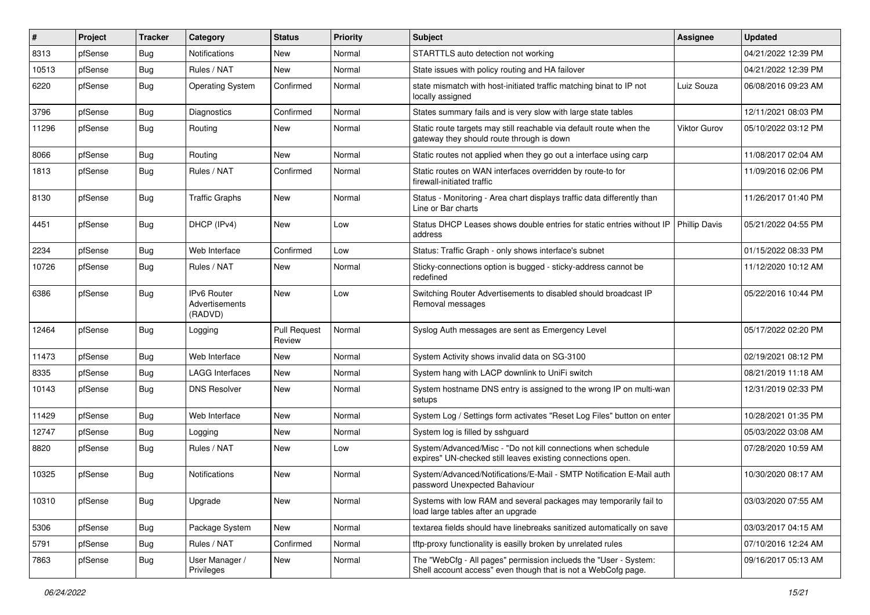| #     | Project | <b>Tracker</b> | Category                                               | <b>Status</b>                 | Priority | <b>Subject</b>                                                                                                                    | <b>Assignee</b>      | <b>Updated</b>      |
|-------|---------|----------------|--------------------------------------------------------|-------------------------------|----------|-----------------------------------------------------------------------------------------------------------------------------------|----------------------|---------------------|
| 8313  | pfSense | Bug            | Notifications                                          | New                           | Normal   | STARTTLS auto detection not working                                                                                               |                      | 04/21/2022 12:39 PM |
| 10513 | pfSense | Bug            | Rules / NAT                                            | <b>New</b>                    | Normal   | State issues with policy routing and HA failover                                                                                  |                      | 04/21/2022 12:39 PM |
| 6220  | pfSense | Bug            | <b>Operating System</b>                                | Confirmed                     | Normal   | state mismatch with host-initiated traffic matching binat to IP not<br>locally assigned                                           | Luiz Souza           | 06/08/2016 09:23 AM |
| 3796  | pfSense | Bug            | Diagnostics                                            | Confirmed                     | Normal   | States summary fails and is very slow with large state tables                                                                     |                      | 12/11/2021 08:03 PM |
| 11296 | pfSense | Bug            | Routing                                                | New                           | Normal   | Static route targets may still reachable via default route when the<br>gateway they should route through is down                  | Viktor Gurov         | 05/10/2022 03:12 PM |
| 8066  | pfSense | <b>Bug</b>     | Routing                                                | <b>New</b>                    | Normal   | Static routes not applied when they go out a interface using carp                                                                 |                      | 11/08/2017 02:04 AM |
| 1813  | pfSense | Bug            | Rules / NAT                                            | Confirmed                     | Normal   | Static routes on WAN interfaces overridden by route-to for<br>firewall-initiated traffic                                          |                      | 11/09/2016 02:06 PM |
| 8130  | pfSense | Bug            | <b>Traffic Graphs</b>                                  | New                           | Normal   | Status - Monitoring - Area chart displays traffic data differently than<br>Line or Bar charts                                     |                      | 11/26/2017 01:40 PM |
| 4451  | pfSense | Bug            | DHCP (IPv4)                                            | New                           | Low      | Status DHCP Leases shows double entries for static entries without IP<br>address                                                  | <b>Phillip Davis</b> | 05/21/2022 04:55 PM |
| 2234  | pfSense | Bug            | Web Interface                                          | Confirmed                     | Low      | Status: Traffic Graph - only shows interface's subnet                                                                             |                      | 01/15/2022 08:33 PM |
| 10726 | pfSense | Bug            | Rules / NAT                                            | <b>New</b>                    | Normal   | Sticky-connections option is bugged - sticky-address cannot be<br>redefined                                                       |                      | 11/12/2020 10:12 AM |
| 6386  | pfSense | Bug            | <b>IPv6 Router</b><br><b>Advertisements</b><br>(RADVD) | New                           | Low      | Switching Router Advertisements to disabled should broadcast IP<br>Removal messages                                               |                      | 05/22/2016 10:44 PM |
| 12464 | pfSense | Bug            | Logging                                                | <b>Pull Request</b><br>Review | Normal   | Syslog Auth messages are sent as Emergency Level                                                                                  |                      | 05/17/2022 02:20 PM |
| 11473 | pfSense | Bug            | Web Interface                                          | New                           | Normal   | System Activity shows invalid data on SG-3100                                                                                     |                      | 02/19/2021 08:12 PM |
| 8335  | pfSense | <b>Bug</b>     | <b>LAGG Interfaces</b>                                 | New                           | Normal   | System hang with LACP downlink to UniFi switch                                                                                    |                      | 08/21/2019 11:18 AM |
| 10143 | pfSense | Bug            | <b>DNS Resolver</b>                                    | New                           | Normal   | System hostname DNS entry is assigned to the wrong IP on multi-wan<br>setups                                                      |                      | 12/31/2019 02:33 PM |
| 11429 | pfSense | Bug            | Web Interface                                          | <b>New</b>                    | Normal   | System Log / Settings form activates "Reset Log Files" button on enter                                                            |                      | 10/28/2021 01:35 PM |
| 12747 | pfSense | <b>Bug</b>     | Logging                                                | New                           | Normal   | System log is filled by sshguard                                                                                                  |                      | 05/03/2022 03:08 AM |
| 8820  | pfSense | Bug            | Rules / NAT                                            | New                           | Low      | System/Advanced/Misc - "Do not kill connections when schedule<br>expires" UN-checked still leaves existing connections open.      |                      | 07/28/2020 10:59 AM |
| 10325 | pfSense | Bug            | Notifications                                          | New                           | Normal   | System/Advanced/Notifications/E-Mail - SMTP Notification E-Mail auth<br>password Unexpected Bahaviour                             |                      | 10/30/2020 08:17 AM |
| 10310 | pfSense | Bug            | Upgrade                                                | New                           | Normal   | Systems with low RAM and several packages may temporarily fail to<br>load large tables after an upgrade                           |                      | 03/03/2020 07:55 AM |
| 5306  | pfSense | Bug            | Package System                                         | New                           | Normal   | textarea fields should have linebreaks sanitized automatically on save                                                            |                      | 03/03/2017 04:15 AM |
| 5791  | pfSense | <b>Bug</b>     | Rules / NAT                                            | Confirmed                     | Normal   | tftp-proxy functionality is easilly broken by unrelated rules                                                                     |                      | 07/10/2016 12:24 AM |
| 7863  | pfSense | <b>Bug</b>     | User Manager /<br>Privileges                           | New                           | Normal   | The "WebCfg - All pages" permission inclueds the "User - System:<br>Shell account access" even though that is not a WebCofg page. |                      | 09/16/2017 05:13 AM |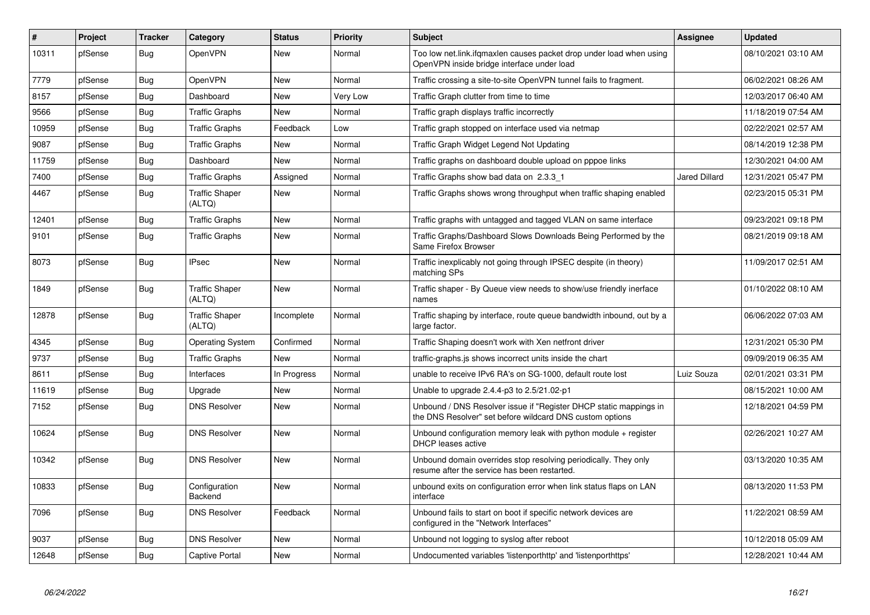| $\#$  | Project | <b>Tracker</b> | Category                        | <b>Status</b> | <b>Priority</b> | <b>Subject</b>                                                                                                                | <b>Assignee</b>      | <b>Updated</b>      |
|-------|---------|----------------|---------------------------------|---------------|-----------------|-------------------------------------------------------------------------------------------------------------------------------|----------------------|---------------------|
| 10311 | pfSense | <b>Bug</b>     | OpenVPN                         | New           | Normal          | Too low net.link.ifgmaxlen causes packet drop under load when using<br>OpenVPN inside bridge interface under load             |                      | 08/10/2021 03:10 AM |
| 7779  | pfSense | Bug            | OpenVPN                         | New           | Normal          | Traffic crossing a site-to-site OpenVPN tunnel fails to fragment.                                                             |                      | 06/02/2021 08:26 AM |
| 8157  | pfSense | Bug            | Dashboard                       | New           | Very Low        | Traffic Graph clutter from time to time                                                                                       |                      | 12/03/2017 06:40 AM |
| 9566  | pfSense | Bug            | <b>Traffic Graphs</b>           | New           | Normal          | Traffic graph displays traffic incorrectly                                                                                    |                      | 11/18/2019 07:54 AM |
| 10959 | pfSense | <b>Bug</b>     | <b>Traffic Graphs</b>           | Feedback      | Low             | Traffic graph stopped on interface used via netmap                                                                            |                      | 02/22/2021 02:57 AM |
| 9087  | pfSense | Bug            | <b>Traffic Graphs</b>           | New           | Normal          | Traffic Graph Widget Legend Not Updating                                                                                      |                      | 08/14/2019 12:38 PM |
| 11759 | pfSense | Bug            | Dashboard                       | New           | Normal          | Traffic graphs on dashboard double upload on pppoe links                                                                      |                      | 12/30/2021 04:00 AM |
| 7400  | pfSense | Bug            | <b>Traffic Graphs</b>           | Assigned      | Normal          | Traffic Graphs show bad data on 2.3.3 1                                                                                       | <b>Jared Dillard</b> | 12/31/2021 05:47 PM |
| 4467  | pfSense | Bug            | <b>Traffic Shaper</b><br>(ALTQ) | New           | Normal          | Traffic Graphs shows wrong throughput when traffic shaping enabled                                                            |                      | 02/23/2015 05:31 PM |
| 12401 | pfSense | Bug            | <b>Traffic Graphs</b>           | New           | Normal          | Traffic graphs with untagged and tagged VLAN on same interface                                                                |                      | 09/23/2021 09:18 PM |
| 9101  | pfSense | Bug            | <b>Traffic Graphs</b>           | New           | Normal          | Traffic Graphs/Dashboard Slows Downloads Being Performed by the<br>Same Firefox Browser                                       |                      | 08/21/2019 09:18 AM |
| 8073  | pfSense | Bug            | <b>IPsec</b>                    | <b>New</b>    | Normal          | Traffic inexplicably not going through IPSEC despite (in theory)<br>matching SPs                                              |                      | 11/09/2017 02:51 AM |
| 1849  | pfSense | Bug            | <b>Traffic Shaper</b><br>(ALTQ) | New           | Normal          | Traffic shaper - By Queue view needs to show/use friendly inerface<br>names                                                   |                      | 01/10/2022 08:10 AM |
| 12878 | pfSense | Bug            | <b>Traffic Shaper</b><br>(ALTQ) | Incomplete    | Normal          | Traffic shaping by interface, route queue bandwidth inbound, out by a<br>large factor.                                        |                      | 06/06/2022 07:03 AM |
| 4345  | pfSense | Bug            | <b>Operating System</b>         | Confirmed     | Normal          | Traffic Shaping doesn't work with Xen netfront driver                                                                         |                      | 12/31/2021 05:30 PM |
| 9737  | pfSense | Bug            | <b>Traffic Graphs</b>           | New           | Normal          | traffic-graphs.js shows incorrect units inside the chart                                                                      |                      | 09/09/2019 06:35 AM |
| 8611  | pfSense | Bug            | Interfaces                      | In Progress   | Normal          | unable to receive IPv6 RA's on SG-1000, default route lost                                                                    | Luiz Souza           | 02/01/2021 03:31 PM |
| 11619 | pfSense | <b>Bug</b>     | Upgrade                         | New           | Normal          | Unable to upgrade 2.4.4-p3 to 2.5/21.02-p1                                                                                    |                      | 08/15/2021 10:00 AM |
| 7152  | pfSense | <b>Bug</b>     | <b>DNS Resolver</b>             | New           | Normal          | Unbound / DNS Resolver issue if "Register DHCP static mappings in<br>the DNS Resolver" set before wildcard DNS custom options |                      | 12/18/2021 04:59 PM |
| 10624 | pfSense | Bug            | <b>DNS Resolver</b>             | <b>New</b>    | Normal          | Unbound configuration memory leak with python module + register<br><b>DHCP</b> leases active                                  |                      | 02/26/2021 10:27 AM |
| 10342 | pfSense | <b>Bug</b>     | <b>DNS Resolver</b>             | <b>New</b>    | Normal          | Unbound domain overrides stop resolving periodically. They only<br>resume after the service has been restarted.               |                      | 03/13/2020 10:35 AM |
| 10833 | pfSense | Bug            | Configuration<br>Backend        | New           | Normal          | unbound exits on configuration error when link status flaps on LAN<br>interface                                               |                      | 08/13/2020 11:53 PM |
| 7096  | pfSense | <b>Bug</b>     | <b>DNS Resolver</b>             | Feedback      | Normal          | Unbound fails to start on boot if specific network devices are<br>configured in the "Network Interfaces"                      |                      | 11/22/2021 08:59 AM |
| 9037  | pfSense | Bug            | <b>DNS Resolver</b>             | New           | Normal          | Unbound not logging to syslog after reboot                                                                                    |                      | 10/12/2018 05:09 AM |
| 12648 | pfSense | Bug            | <b>Captive Portal</b>           | New           | Normal          | Undocumented variables 'listenporthttp' and 'listenporthttps'                                                                 |                      | 12/28/2021 10:44 AM |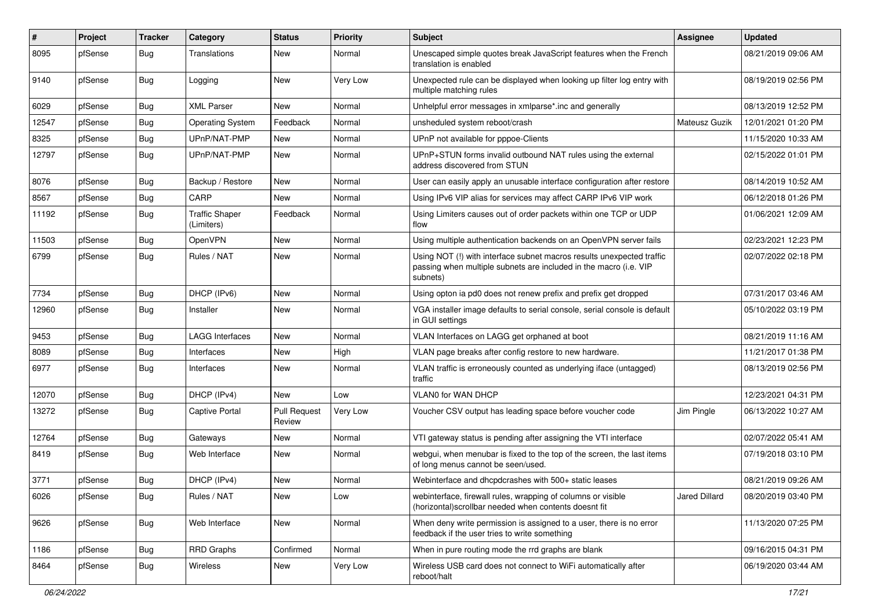| $\pmb{\#}$ | Project | <b>Tracker</b> | Category                            | <b>Status</b>                 | <b>Priority</b> | <b>Subject</b>                                                                                                                                         | <b>Assignee</b> | <b>Updated</b>      |
|------------|---------|----------------|-------------------------------------|-------------------------------|-----------------|--------------------------------------------------------------------------------------------------------------------------------------------------------|-----------------|---------------------|
| 8095       | pfSense | Bug            | Translations                        | New                           | Normal          | Unescaped simple quotes break JavaScript features when the French<br>translation is enabled                                                            |                 | 08/21/2019 09:06 AM |
| 9140       | pfSense | Bug            | Logging                             | New                           | <b>Very Low</b> | Unexpected rule can be displayed when looking up filter log entry with<br>multiple matching rules                                                      |                 | 08/19/2019 02:56 PM |
| 6029       | pfSense | Bug            | <b>XML Parser</b>                   | New                           | Normal          | Unhelpful error messages in xmlparse*.inc and generally                                                                                                |                 | 08/13/2019 12:52 PM |
| 12547      | pfSense | Bug            | <b>Operating System</b>             | Feedback                      | Normal          | unsheduled system reboot/crash                                                                                                                         | Mateusz Guzik   | 12/01/2021 01:20 PM |
| 8325       | pfSense | Bug            | UPnP/NAT-PMP                        | New                           | Normal          | UPnP not available for pppoe-Clients                                                                                                                   |                 | 11/15/2020 10:33 AM |
| 12797      | pfSense | Bug            | UPnP/NAT-PMP                        | New                           | Normal          | UPnP+STUN forms invalid outbound NAT rules using the external<br>address discovered from STUN                                                          |                 | 02/15/2022 01:01 PM |
| 8076       | pfSense | Bug            | Backup / Restore                    | <b>New</b>                    | Normal          | User can easily apply an unusable interface configuration after restore                                                                                |                 | 08/14/2019 10:52 AM |
| 8567       | pfSense | Bug            | CARP                                | New                           | Normal          | Using IPv6 VIP alias for services may affect CARP IPv6 VIP work                                                                                        |                 | 06/12/2018 01:26 PM |
| 11192      | pfSense | Bug            | <b>Traffic Shaper</b><br>(Limiters) | Feedback                      | Normal          | Using Limiters causes out of order packets within one TCP or UDP<br>flow                                                                               |                 | 01/06/2021 12:09 AM |
| 11503      | pfSense | Bug            | OpenVPN                             | New                           | Normal          | Using multiple authentication backends on an OpenVPN server fails                                                                                      |                 | 02/23/2021 12:23 PM |
| 6799       | pfSense | Bug            | Rules / NAT                         | New                           | Normal          | Using NOT (!) with interface subnet macros results unexpected traffic<br>passing when multiple subnets are included in the macro (i.e. VIP<br>subnets) |                 | 02/07/2022 02:18 PM |
| 7734       | pfSense | Bug            | DHCP (IPv6)                         | <b>New</b>                    | Normal          | Using opton ia pd0 does not renew prefix and prefix get dropped                                                                                        |                 | 07/31/2017 03:46 AM |
| 12960      | pfSense | <b>Bug</b>     | Installer                           | New                           | Normal          | VGA installer image defaults to serial console, serial console is default<br>in GUI settings                                                           |                 | 05/10/2022 03:19 PM |
| 9453       | pfSense | Bug            | <b>LAGG Interfaces</b>              | New                           | Normal          | VLAN Interfaces on LAGG get orphaned at boot                                                                                                           |                 | 08/21/2019 11:16 AM |
| 8089       | pfSense | Bug            | Interfaces                          | New                           | High            | VLAN page breaks after config restore to new hardware.                                                                                                 |                 | 11/21/2017 01:38 PM |
| 6977       | pfSense | Bug            | Interfaces                          | New                           | Normal          | VLAN traffic is erroneously counted as underlying iface (untagged)<br>traffic                                                                          |                 | 08/13/2019 02:56 PM |
| 12070      | pfSense | <b>Bug</b>     | DHCP (IPv4)                         | New                           | Low             | <b>VLAN0 for WAN DHCP</b>                                                                                                                              |                 | 12/23/2021 04:31 PM |
| 13272      | pfSense | Bug            | <b>Captive Portal</b>               | <b>Pull Request</b><br>Review | Very Low        | Voucher CSV output has leading space before voucher code                                                                                               | Jim Pingle      | 06/13/2022 10:27 AM |
| 12764      | pfSense | Bug            | Gateways                            | New                           | Normal          | VTI gateway status is pending after assigning the VTI interface                                                                                        |                 | 02/07/2022 05:41 AM |
| 8419       | pfSense | <b>Bug</b>     | Web Interface                       | New                           | Normal          | webgui, when menubar is fixed to the top of the screen, the last items<br>of long menus cannot be seen/used.                                           |                 | 07/19/2018 03:10 PM |
| 3771       | pfSense | Bug            | DHCP (IPv4)                         | New                           | Normal          | Webinterface and dhcpdcrashes with 500+ static leases                                                                                                  |                 | 08/21/2019 09:26 AM |
| 6026       | pfSense | Bug            | Rules / NAT                         | New                           | Low             | webinterface, firewall rules, wrapping of columns or visible<br>(horizontal) scrollbar needed when contents doesnt fit                                 | Jared Dillard   | 08/20/2019 03:40 PM |
| 9626       | pfSense | Bug            | Web Interface                       | New                           | Normal          | When deny write permission is assigned to a user, there is no error<br>feedback if the user tries to write something                                   |                 | 11/13/2020 07:25 PM |
| 1186       | pfSense | Bug            | <b>RRD Graphs</b>                   | Confirmed                     | Normal          | When in pure routing mode the rrd graphs are blank                                                                                                     |                 | 09/16/2015 04:31 PM |
| 8464       | pfSense | <b>Bug</b>     | Wireless                            | New                           | Very Low        | Wireless USB card does not connect to WiFi automatically after<br>reboot/halt                                                                          |                 | 06/19/2020 03:44 AM |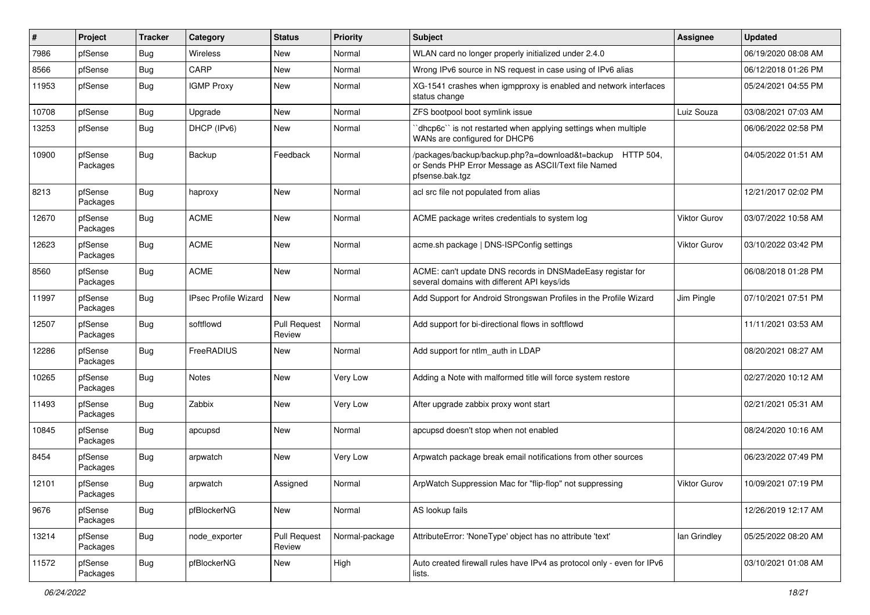| ∦     | Project             | <b>Tracker</b> | Category                    | <b>Status</b>                 | <b>Priority</b> | <b>Subject</b>                                                                                                                      | <b>Assignee</b>     | <b>Updated</b>      |
|-------|---------------------|----------------|-----------------------------|-------------------------------|-----------------|-------------------------------------------------------------------------------------------------------------------------------------|---------------------|---------------------|
| 7986  | pfSense             | Bug            | Wireless                    | New                           | Normal          | WLAN card no longer properly initialized under 2.4.0                                                                                |                     | 06/19/2020 08:08 AM |
| 8566  | pfSense             | Bug            | CARP                        | <b>New</b>                    | Normal          | Wrong IPv6 source in NS request in case using of IPv6 alias                                                                         |                     | 06/12/2018 01:26 PM |
| 11953 | pfSense             | Bug            | <b>IGMP Proxy</b>           | New                           | Normal          | XG-1541 crashes when igmpproxy is enabled and network interfaces<br>status change                                                   |                     | 05/24/2021 04:55 PM |
| 10708 | pfSense             | <b>Bug</b>     | Upgrade                     | <b>New</b>                    | Normal          | ZFS bootpool boot symlink issue                                                                                                     | Luiz Souza          | 03/08/2021 07:03 AM |
| 13253 | pfSense             | Bug            | DHCP (IPv6)                 | New                           | Normal          | dhcp6c" is not restarted when applying settings when multiple<br>WANs are configured for DHCP6                                      |                     | 06/06/2022 02:58 PM |
| 10900 | pfSense<br>Packages | Bug            | Backup                      | Feedback                      | Normal          | /packages/backup/backup.php?a=download&t=backup HTTP 504,<br>or Sends PHP Error Message as ASCII/Text file Named<br>pfsense.bak.tgz |                     | 04/05/2022 01:51 AM |
| 8213  | pfSense<br>Packages | Bug            | haproxy                     | New                           | Normal          | acl src file not populated from alias                                                                                               |                     | 12/21/2017 02:02 PM |
| 12670 | pfSense<br>Packages | Bug            | <b>ACME</b>                 | <b>New</b>                    | Normal          | ACME package writes credentials to system log                                                                                       | Viktor Gurov        | 03/07/2022 10:58 AM |
| 12623 | pfSense<br>Packages | Bug            | <b>ACME</b>                 | <b>New</b>                    | Normal          | acme.sh package   DNS-ISPConfig settings                                                                                            | Viktor Gurov        | 03/10/2022 03:42 PM |
| 8560  | pfSense<br>Packages | Bug            | <b>ACME</b>                 | New                           | Normal          | ACME: can't update DNS records in DNSMadeEasy registar for<br>several domains with different API keys/ids                           |                     | 06/08/2018 01:28 PM |
| 11997 | pfSense<br>Packages | Bug            | <b>IPsec Profile Wizard</b> | New                           | Normal          | Add Support for Android Strongswan Profiles in the Profile Wizard                                                                   | Jim Pingle          | 07/10/2021 07:51 PM |
| 12507 | pfSense<br>Packages | Bug            | softflowd                   | <b>Pull Request</b><br>Review | Normal          | Add support for bi-directional flows in softflowd                                                                                   |                     | 11/11/2021 03:53 AM |
| 12286 | pfSense<br>Packages | Bug            | FreeRADIUS                  | New                           | Normal          | Add support for ntlm auth in LDAP                                                                                                   |                     | 08/20/2021 08:27 AM |
| 10265 | pfSense<br>Packages | Bug            | <b>Notes</b>                | <b>New</b>                    | Very Low        | Adding a Note with malformed title will force system restore                                                                        |                     | 02/27/2020 10:12 AM |
| 11493 | pfSense<br>Packages | Bug            | Zabbix                      | <b>New</b>                    | Very Low        | After upgrade zabbix proxy wont start                                                                                               |                     | 02/21/2021 05:31 AM |
| 10845 | pfSense<br>Packages | Bug            | apcupsd                     | New                           | Normal          | apcupsd doesn't stop when not enabled                                                                                               |                     | 08/24/2020 10:16 AM |
| 8454  | pfSense<br>Packages | Bug            | arpwatch                    | New                           | Very Low        | Arpwatch package break email notifications from other sources                                                                       |                     | 06/23/2022 07:49 PM |
| 12101 | pfSense<br>Packages | Bug            | arpwatch                    | Assigned                      | Normal          | ArpWatch Suppression Mac for "flip-flop" not suppressing                                                                            | <b>Viktor Gurov</b> | 10/09/2021 07:19 PM |
| 9676  | pfSense<br>Packages | <b>Bug</b>     | pfBlockerNG                 | New                           | Normal          | AS lookup fails                                                                                                                     |                     | 12/26/2019 12:17 AM |
| 13214 | pfSense<br>Packages | <b>Bug</b>     | node_exporter               | <b>Pull Request</b><br>Review | Normal-package  | AttributeError: 'NoneType' object has no attribute 'text'                                                                           | lan Grindley        | 05/25/2022 08:20 AM |
| 11572 | pfSense<br>Packages | <b>Bug</b>     | pfBlockerNG                 | New                           | High            | Auto created firewall rules have IPv4 as protocol only - even for IPv6<br>lists.                                                    |                     | 03/10/2021 01:08 AM |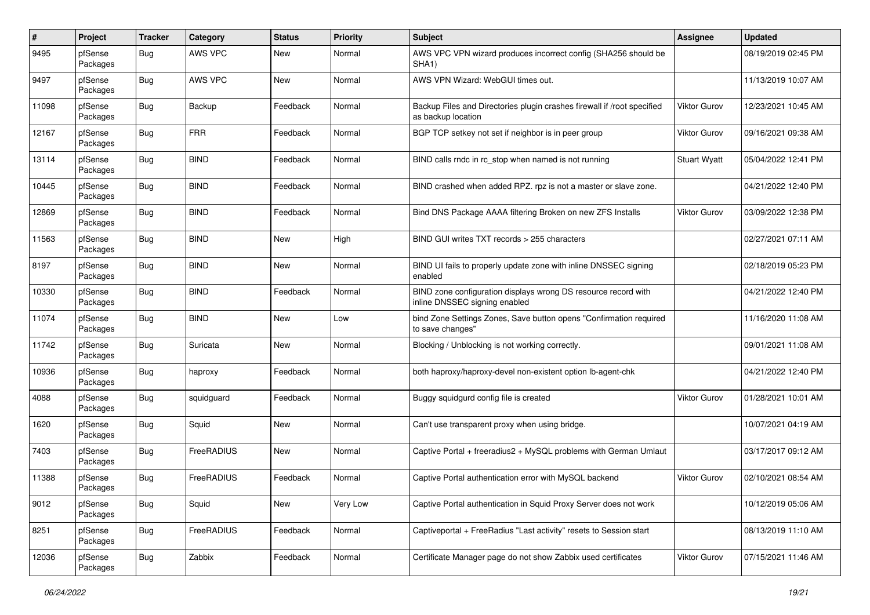| $\pmb{\#}$ | Project             | Tracker    | Category    | <b>Status</b> | <b>Priority</b> | <b>Subject</b>                                                                                  | <b>Assignee</b>     | <b>Updated</b>      |
|------------|---------------------|------------|-------------|---------------|-----------------|-------------------------------------------------------------------------------------------------|---------------------|---------------------|
| 9495       | pfSense<br>Packages | Bug        | AWS VPC     | New           | Normal          | AWS VPC VPN wizard produces incorrect config (SHA256 should be<br>SHA <sub>1</sub> )            |                     | 08/19/2019 02:45 PM |
| 9497       | pfSense<br>Packages | Bug        | AWS VPC     | New           | Normal          | AWS VPN Wizard: WebGUI times out.                                                               |                     | 11/13/2019 10:07 AM |
| 11098      | pfSense<br>Packages | <b>Bug</b> | Backup      | Feedback      | Normal          | Backup Files and Directories plugin crashes firewall if /root specified<br>as backup location   | <b>Viktor Gurov</b> | 12/23/2021 10:45 AM |
| 12167      | pfSense<br>Packages | Bug        | <b>FRR</b>  | Feedback      | Normal          | BGP TCP setkey not set if neighbor is in peer group                                             | <b>Viktor Gurov</b> | 09/16/2021 09:38 AM |
| 13114      | pfSense<br>Packages | <b>Bug</b> | <b>BIND</b> | Feedback      | Normal          | BIND calls rndc in rc_stop when named is not running                                            | <b>Stuart Wyatt</b> | 05/04/2022 12:41 PM |
| 10445      | pfSense<br>Packages | Bug        | <b>BIND</b> | Feedback      | Normal          | BIND crashed when added RPZ. rpz is not a master or slave zone.                                 |                     | 04/21/2022 12:40 PM |
| 12869      | pfSense<br>Packages | <b>Bug</b> | <b>BIND</b> | Feedback      | Normal          | Bind DNS Package AAAA filtering Broken on new ZFS Installs                                      | <b>Viktor Gurov</b> | 03/09/2022 12:38 PM |
| 11563      | pfSense<br>Packages | <b>Bug</b> | <b>BIND</b> | New           | High            | BIND GUI writes TXT records > 255 characters                                                    |                     | 02/27/2021 07:11 AM |
| 8197       | pfSense<br>Packages | Bug        | <b>BIND</b> | New           | Normal          | BIND UI fails to properly update zone with inline DNSSEC signing<br>enabled                     |                     | 02/18/2019 05:23 PM |
| 10330      | pfSense<br>Packages | Bug        | <b>BIND</b> | Feedback      | Normal          | BIND zone configuration displays wrong DS resource record with<br>inline DNSSEC signing enabled |                     | 04/21/2022 12:40 PM |
| 11074      | pfSense<br>Packages | <b>Bug</b> | <b>BIND</b> | New           | Low             | bind Zone Settings Zones, Save button opens "Confirmation required<br>to save changes"          |                     | 11/16/2020 11:08 AM |
| 11742      | pfSense<br>Packages | <b>Bug</b> | Suricata    | New           | Normal          | Blocking / Unblocking is not working correctly.                                                 |                     | 09/01/2021 11:08 AM |
| 10936      | pfSense<br>Packages | <b>Bug</b> | haproxy     | Feedback      | Normal          | both haproxy/haproxy-devel non-existent option lb-agent-chk                                     |                     | 04/21/2022 12:40 PM |
| 4088       | pfSense<br>Packages | <b>Bug</b> | squidguard  | Feedback      | Normal          | Buggy squidgurd config file is created                                                          | <b>Viktor Gurov</b> | 01/28/2021 10:01 AM |
| 1620       | pfSense<br>Packages | Bug        | Squid       | New           | Normal          | Can't use transparent proxy when using bridge.                                                  |                     | 10/07/2021 04:19 AM |
| 7403       | pfSense<br>Packages | <b>Bug</b> | FreeRADIUS  | New           | Normal          | Captive Portal + freeradius2 + MySQL problems with German Umlaut                                |                     | 03/17/2017 09:12 AM |
| 11388      | pfSense<br>Packages | Bug        | FreeRADIUS  | Feedback      | Normal          | Captive Portal authentication error with MySQL backend                                          | Viktor Gurov        | 02/10/2021 08:54 AM |
| 9012       | pfSense<br>Packages | Bug        | Squid       | New           | Very Low        | Captive Portal authentication in Squid Proxy Server does not work                               |                     | 10/12/2019 05:06 AM |
| 8251       | pfSense<br>Packages | <b>Bug</b> | FreeRADIUS  | Feedback      | Normal          | Captiveportal + FreeRadius "Last activity" resets to Session start                              |                     | 08/13/2019 11:10 AM |
| 12036      | pfSense<br>Packages | <b>Bug</b> | Zabbix      | Feedback      | Normal          | Certificate Manager page do not show Zabbix used certificates                                   | Viktor Gurov        | 07/15/2021 11:46 AM |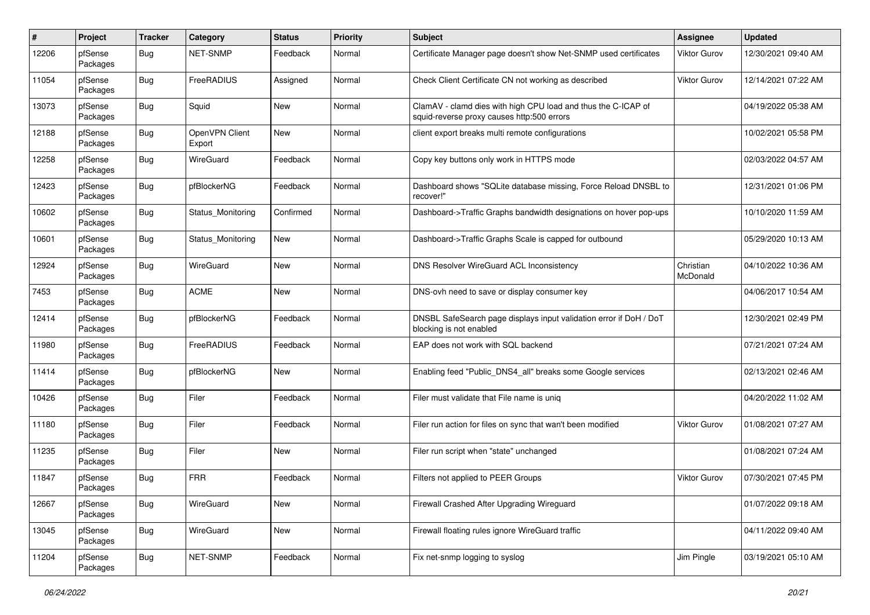| $\#$  | Project             | <b>Tracker</b> | Category                 | <b>Status</b> | <b>Priority</b> | <b>Subject</b>                                                                                              | <b>Assignee</b>       | <b>Updated</b>      |
|-------|---------------------|----------------|--------------------------|---------------|-----------------|-------------------------------------------------------------------------------------------------------------|-----------------------|---------------------|
| 12206 | pfSense<br>Packages | Bug            | NET-SNMP                 | Feedback      | Normal          | Certificate Manager page doesn't show Net-SNMP used certificates                                            | Viktor Gurov          | 12/30/2021 09:40 AM |
| 11054 | pfSense<br>Packages | Bug            | FreeRADIUS               | Assigned      | Normal          | Check Client Certificate CN not working as described                                                        | Viktor Gurov          | 12/14/2021 07:22 AM |
| 13073 | pfSense<br>Packages | Bug            | Squid                    | <b>New</b>    | Normal          | ClamAV - clamd dies with high CPU load and thus the C-ICAP of<br>squid-reverse proxy causes http:500 errors |                       | 04/19/2022 05:38 AM |
| 12188 | pfSense<br>Packages | Bug            | OpenVPN Client<br>Export | <b>New</b>    | Normal          | client export breaks multi remote configurations                                                            |                       | 10/02/2021 05:58 PM |
| 12258 | pfSense<br>Packages | <b>Bug</b>     | WireGuard                | Feedback      | Normal          | Copy key buttons only work in HTTPS mode                                                                    |                       | 02/03/2022 04:57 AM |
| 12423 | pfSense<br>Packages | <b>Bug</b>     | pfBlockerNG              | Feedback      | Normal          | Dashboard shows "SQLite database missing, Force Reload DNSBL to<br>recover!"                                |                       | 12/31/2021 01:06 PM |
| 10602 | pfSense<br>Packages | Bug            | Status Monitoring        | Confirmed     | Normal          | Dashboard->Traffic Graphs bandwidth designations on hover pop-ups                                           |                       | 10/10/2020 11:59 AM |
| 10601 | pfSense<br>Packages | Bug            | Status_Monitoring        | <b>New</b>    | Normal          | Dashboard->Traffic Graphs Scale is capped for outbound                                                      |                       | 05/29/2020 10:13 AM |
| 12924 | pfSense<br>Packages | Bug            | WireGuard                | New           | Normal          | <b>DNS Resolver WireGuard ACL Inconsistency</b>                                                             | Christian<br>McDonald | 04/10/2022 10:36 AM |
| 7453  | pfSense<br>Packages | Bug            | <b>ACME</b>              | New           | Normal          | DNS-ovh need to save or display consumer key                                                                |                       | 04/06/2017 10:54 AM |
| 12414 | pfSense<br>Packages | Bug            | pfBlockerNG              | Feedback      | Normal          | DNSBL SafeSearch page displays input validation error if DoH / DoT<br>blocking is not enabled               |                       | 12/30/2021 02:49 PM |
| 11980 | pfSense<br>Packages | <b>Bug</b>     | FreeRADIUS               | Feedback      | Normal          | EAP does not work with SQL backend                                                                          |                       | 07/21/2021 07:24 AM |
| 11414 | pfSense<br>Packages | Bug            | pfBlockerNG              | New           | Normal          | Enabling feed "Public DNS4 all" breaks some Google services                                                 |                       | 02/13/2021 02:46 AM |
| 10426 | pfSense<br>Packages | Bug            | Filer                    | Feedback      | Normal          | Filer must validate that File name is uniq                                                                  |                       | 04/20/2022 11:02 AM |
| 11180 | pfSense<br>Packages | Bug            | Filer                    | Feedback      | Normal          | Filer run action for files on sync that wan't been modified                                                 | Viktor Gurov          | 01/08/2021 07:27 AM |
| 11235 | pfSense<br>Packages | Bug            | Filer                    | New           | Normal          | Filer run script when "state" unchanged                                                                     |                       | 01/08/2021 07:24 AM |
| 11847 | pfSense<br>Packages | Bug            | <b>FRR</b>               | Feedback      | Normal          | Filters not applied to PEER Groups                                                                          | <b>Viktor Gurov</b>   | 07/30/2021 07:45 PM |
| 12667 | pfSense<br>Packages | <b>Bug</b>     | WireGuard                | New           | Normal          | Firewall Crashed After Upgrading Wireguard                                                                  |                       | 01/07/2022 09:18 AM |
| 13045 | pfSense<br>Packages | <b>Bug</b>     | WireGuard                | New           | Normal          | Firewall floating rules ignore WireGuard traffic                                                            |                       | 04/11/2022 09:40 AM |
| 11204 | pfSense<br>Packages | <b>Bug</b>     | NET-SNMP                 | Feedback      | Normal          | Fix net-snmp logging to syslog                                                                              | Jim Pingle            | 03/19/2021 05:10 AM |